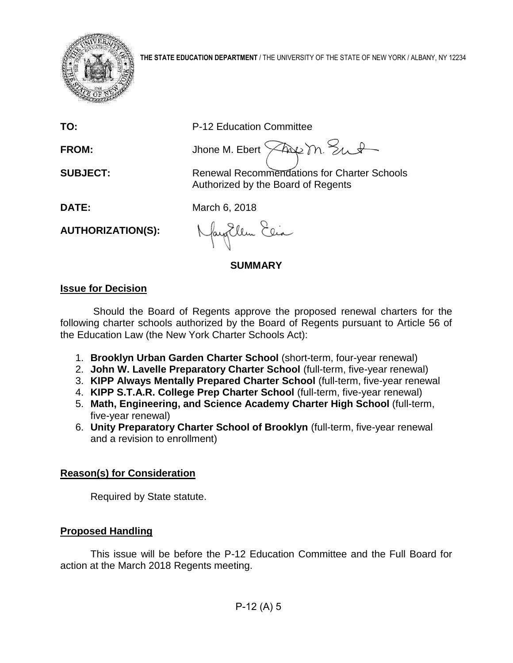

**TO:** P-12 Education Committee

FROM: Jhone M. Ebert  $\sqrt{2\alpha}$  m.  $\frac{1}{2}\sqrt{1-\alpha^2}$ 

**SUBJECT:** Renewal Recommendations for Charter Schools Authorized by the Board of Regents

**DATE:** March 6, 2018

**AUTHORIZATION(S):**

Jay Ellen Elia

**SUMMARY**

# **Issue for Decision**

Should the Board of Regents approve the proposed renewal charters for the following charter schools authorized by the Board of Regents pursuant to Article 56 of the Education Law (the New York Charter Schools Act):

- 1. **Brooklyn Urban Garden Charter School** (short-term, four-year renewal)
- 2. **John W. Lavelle Preparatory Charter School** (full-term, five-year renewal)
- 3. **KIPP Always Mentally Prepared Charter School** (full-term, five-year renewal
- 4. **KIPP S.T.A.R. College Prep Charter School** (full-term, five-year renewal)
- 5. **Math, Engineering, and Science Academy Charter High School** (full-term, five-year renewal)
- 6. **Unity Preparatory Charter School of Brooklyn** (full-term, five-year renewal and a revision to enrollment)

# **Reason(s) for Consideration**

Required by State statute.

# **Proposed Handling**

This issue will be before the P-12 Education Committee and the Full Board for action at the March 2018 Regents meeting.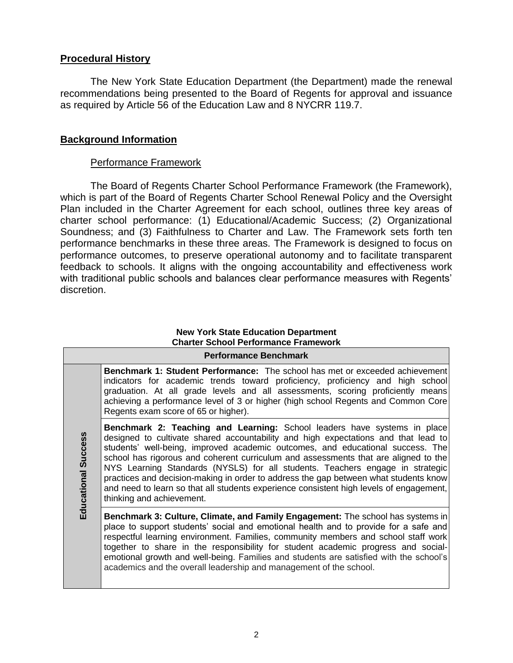# **Procedural History**

The New York State Education Department (the Department) made the renewal recommendations being presented to the Board of Regents for approval and issuance as required by Article 56 of the Education Law and 8 NYCRR 119.7.

# **Background Information**

# Performance Framework

The Board of Regents Charter School Performance Framework (the Framework), which is part of the Board of Regents Charter School Renewal Policy and the Oversight Plan included in the Charter Agreement for each school, outlines three key areas of charter school performance: (1) Educational/Academic Success; (2) Organizational Soundness; and (3) Faithfulness to Charter and Law. The Framework sets forth ten performance benchmarks in these three areas*.* The Framework is designed to focus on performance outcomes, to preserve operational autonomy and to facilitate transparent feedback to schools. It aligns with the ongoing accountability and effectiveness work with traditional public schools and balances clear performance measures with Regents' discretion.

#### **New York State Education Department Charter School Performance Framework Performance Benchmark**

|                            | Performance Benchmark                                                                                                                                                                                                                                                                                                                                                                                                                                                                                                                                                                                                                           |  |  |  |  |  |  |
|----------------------------|-------------------------------------------------------------------------------------------------------------------------------------------------------------------------------------------------------------------------------------------------------------------------------------------------------------------------------------------------------------------------------------------------------------------------------------------------------------------------------------------------------------------------------------------------------------------------------------------------------------------------------------------------|--|--|--|--|--|--|
| <b>Educational Success</b> | <b>Benchmark 1: Student Performance:</b> The school has met or exceeded achievement<br>indicators for academic trends toward proficiency, proficiency and high school<br>graduation. At all grade levels and all assessments, scoring proficiently means<br>achieving a performance level of 3 or higher (high school Regents and Common Core<br>Regents exam score of 65 or higher).                                                                                                                                                                                                                                                           |  |  |  |  |  |  |
|                            | <b>Benchmark 2: Teaching and Learning:</b> School leaders have systems in place<br>designed to cultivate shared accountability and high expectations and that lead to<br>students' well-being, improved academic outcomes, and educational success. The<br>school has rigorous and coherent curriculum and assessments that are aligned to the<br>NYS Learning Standards (NYSLS) for all students. Teachers engage in strategic<br>practices and decision-making in order to address the gap between what students know<br>and need to learn so that all students experience consistent high levels of engagement,<br>thinking and achievement. |  |  |  |  |  |  |
|                            | Benchmark 3: Culture, Climate, and Family Engagement: The school has systems in<br>place to support students' social and emotional health and to provide for a safe and<br>respectful learning environment. Families, community members and school staff work<br>together to share in the responsibility for student academic progress and social-<br>emotional growth and well-being. Families and students are satisfied with the school's<br>academics and the overall leadership and management of the school.                                                                                                                              |  |  |  |  |  |  |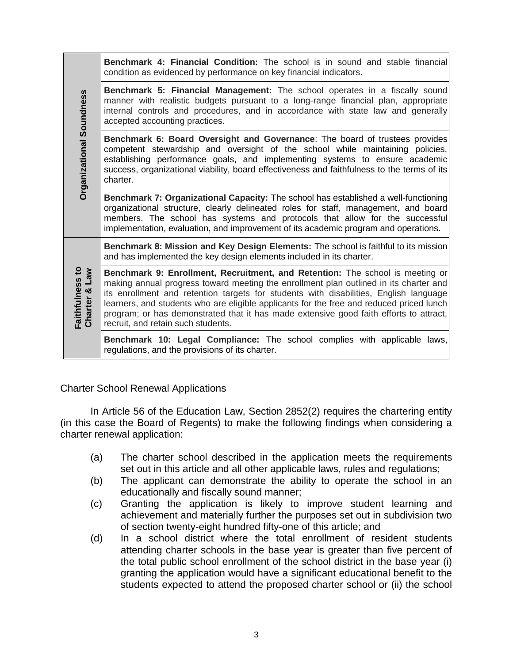|                                                       | <b>Benchmark 4: Financial Condition:</b> The school is in sound and stable financial<br>condition as evidenced by performance on key financial indicators.                                                                                                                                                                                                                                                                                                                                  |
|-------------------------------------------------------|---------------------------------------------------------------------------------------------------------------------------------------------------------------------------------------------------------------------------------------------------------------------------------------------------------------------------------------------------------------------------------------------------------------------------------------------------------------------------------------------|
|                                                       | Benchmark 5: Financial Management: The school operates in a fiscally sound<br>manner with realistic budgets pursuant to a long-range financial plan, appropriate<br>internal controls and procedures, and in accordance with state law and generally<br>accepted accounting practices.                                                                                                                                                                                                      |
| Organizational Soundness                              | Benchmark 6: Board Oversight and Governance: The board of trustees provides<br>competent stewardship and oversight of the school while maintaining policies,<br>establishing performance goals, and implementing systems to ensure academic<br>success, organizational viability, board effectiveness and faithfulness to the terms of its<br>charter.                                                                                                                                      |
|                                                       | Benchmark 7: Organizational Capacity: The school has established a well-functioning<br>organizational structure, clearly delineated roles for staff, management, and board<br>members. The school has systems and protocols that allow for the successful<br>implementation, evaluation, and improvement of its academic program and operations.                                                                                                                                            |
|                                                       | Benchmark 8: Mission and Key Design Elements: The school is faithful to its mission<br>and has implemented the key design elements included in its charter.                                                                                                                                                                                                                                                                                                                                 |
| Faithfulness to<br><b>Me<sub>T</sub></b><br>Charter & | Benchmark 9: Enrollment, Recruitment, and Retention: The school is meeting or<br>making annual progress toward meeting the enrollment plan outlined in its charter and<br>its enrollment and retention targets for students with disabilities, English language<br>learners, and students who are eligible applicants for the free and reduced priced lunch<br>program; or has demonstrated that it has made extensive good faith efforts to attract,<br>recruit, and retain such students. |
|                                                       | Benchmark 10: Legal Compliance: The school complies with applicable laws,<br>regulations, and the provisions of its charter.                                                                                                                                                                                                                                                                                                                                                                |

Charter School Renewal Applications

In Article 56 of the Education Law, Section 2852(2) requires the chartering entity (in this case the Board of Regents) to make the following findings when considering a charter renewal application:

- (a) The charter school described in the application meets the requirements set out in this article and all other applicable laws, rules and regulations;
- (b) The applicant can demonstrate the ability to operate the school in an educationally and fiscally sound manner;
- (c) Granting the application is likely to improve student learning and achievement and materially further the purposes set out in subdivision two of section twenty-eight hundred fifty-one of this article; and
- (d) In a school district where the total enrollment of resident students attending charter schools in the base year is greater than five percent of the total public school enrollment of the school district in the base year (i) granting the application would have a significant educational benefit to the students expected to attend the proposed charter school or (ii) the school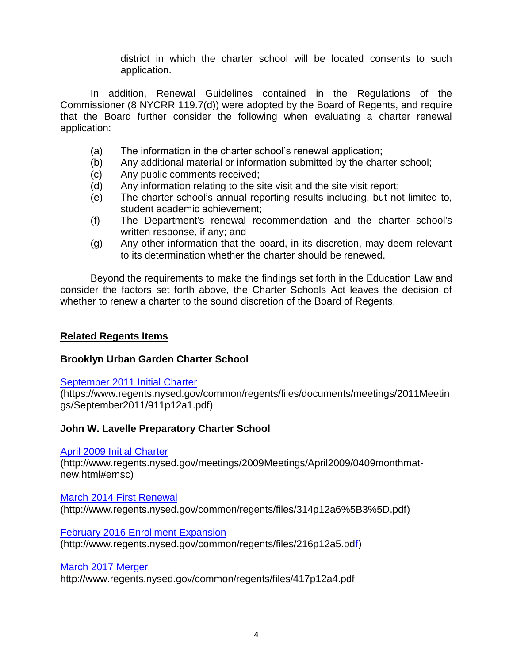district in which the charter school will be located consents to such application.

In addition, Renewal Guidelines contained in the Regulations of the Commissioner (8 NYCRR 119.7(d)) were adopted by the Board of Regents, and require that the Board further consider the following when evaluating a charter renewal application:

- (a) The information in the charter school's renewal application;
- (b) Any additional material or information submitted by the charter school;
- (c) Any public comments received;
- (d) Any information relating to the site visit and the site visit report;
- (e) The charter school's annual reporting results including, but not limited to, student academic achievement;
- (f) The Department's renewal recommendation and the charter school's written response, if any; and
- (g) Any other information that the board, in its discretion, may deem relevant to its determination whether the charter should be renewed.

Beyond the requirements to make the findings set forth in the Education Law and consider the factors set forth above, the Charter Schools Act leaves the decision of whether to renew a charter to the sound discretion of the Board of Regents.

# **Related Regents Items**

# **Brooklyn Urban Garden Charter School**

# [September 2011 Initial Charter](https://www.regents.nysed.gov/common/regents/files/documents/meetings/2011Meetings/September2011/911p12a1.pdf)

(https://www.regents.nysed.gov/common/regents/files/documents/meetings/2011Meetin gs/September2011/911p12a1.pdf)

# **John W. Lavelle Preparatory Charter School**

# [April 2009 Initial Charter](http://www.regents.nysed.gov/meetings/2009Meetings/April2009/0409monthmat-new.html#emsc)

(http://www.regents.nysed.gov/meetings/2009Meetings/April2009/0409monthmatnew.html#emsc)

# [March 2014 First Renewal](http://www.regents.nysed.gov/common/regents/files/314p12a6%5B3%5D.pdf)  (http://www.regents.nysed.gov/common/regents/files/314p12a6%5B3%5D.pdf)

[February 2016 Enrollment Expansion](http://www.regents.nysed.gov/common/regents/files/216p12a5.pd)  (http://www.regents.nysed.gov/common/regents/files/216p12a5.pdf)

March 2017 Merger

http://www.regents.nysed.gov/common/regents/files/417p12a4.pdf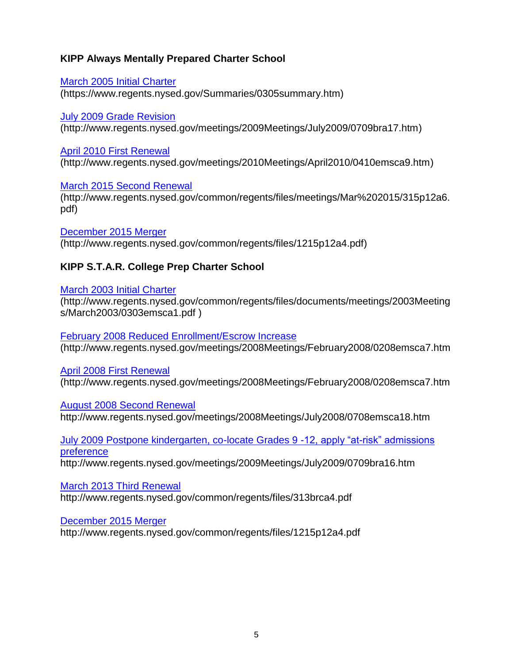# **KIPP Always Mentally Prepared Charter School**

[March 2005 Initial Charter](https://www.regents.nysed.gov/Summaries/0305summary.htm)  (https://www.regents.nysed.gov/Summaries/0305summary.htm)

[July 2009 Grade Revision](http://www.regents.nysed.gov/meetings/2009Meetings/July2009/0709bra17.htm)  (http://www.regents.nysed.gov/meetings/2009Meetings/July2009/0709bra17.htm)

# [April 2010 First Renewal](http://www.regents.nysed.gov/meetings/2010Meetings/April2010/0410emsca9.htm)

(http://www.regents.nysed.gov/meetings/2010Meetings/April2010/0410emsca9.htm)

[March 2015 Second Renewal](http://www.regents.nysed.gov/common/regents/files/meetings/Mar%202015/315p12a6.pdf)

(http://www.regents.nysed.gov/common/regents/files/meetings/Mar%202015/315p12a6. pdf)

[December 2015 Merger](http://www.regents.nysed.gov/common/regents/files/1215p12a4.pdf)  (http://www.regents.nysed.gov/common/regents/files/1215p12a4.pdf)

# **KIPP S.T.A.R. College Prep Charter School**

# [March 2003 Initial Charter](http://www.regents.nysed.gov/common/regents/files/documents/meetings/2003Meetings/March2003/0303emsca1.pdf)

(http://www.regents.nysed.gov/common/regents/files/documents/meetings/2003Meeting s/March2003/0303emsca1.pdf )

[February 2008 Reduced Enrollment/Escrow Increase](http://www.regents.nysed.gov/meetings/2008Meetings/February2008/0208emsca7.htm) (http://www.regents.nysed.gov/meetings/2008Meetings/February2008/0208emsca7.htm

# [April 2008 First Renewal](http://www.regents.nysed.gov/meetings/2008Meetings/February2008/0208emsca7.htm)

(http://www.regents.nysed.gov/meetings/2008Meetings/February2008/0208emsca7.htm

[August 2008 Second Renewal](http://www.regents.nysed.gov/meetings/2008Meetings/July2008/0708emsca18.htm) 

http://www.regents.nysed.gov/meetings/2008Meetings/July2008/0708emsca18.htm

[July 2009 Postpone kindergarten, co-locate Grades 9 -12, apply "at-risk" admissions](http://www.regents.nysed.gov/meetings/2009Meetings/July2009/0709bra16.htm)  [preference](http://www.regents.nysed.gov/meetings/2009Meetings/July2009/0709bra16.htm)

http://www.regents.nysed.gov/meetings/2009Meetings/July2009/0709bra16.htm

[March 2013 Third Renewal](http://www.regents.nysed.gov/common/regents/files/313brca4.pdf)

http://www.regents.nysed.gov/common/regents/files/313brca4.pdf

[December 2015 Merger](http://www.regents.nysed.gov/common/regents/files/1215p12a4.pdf) 

http://www.regents.nysed.gov/common/regents/files/1215p12a4.pdf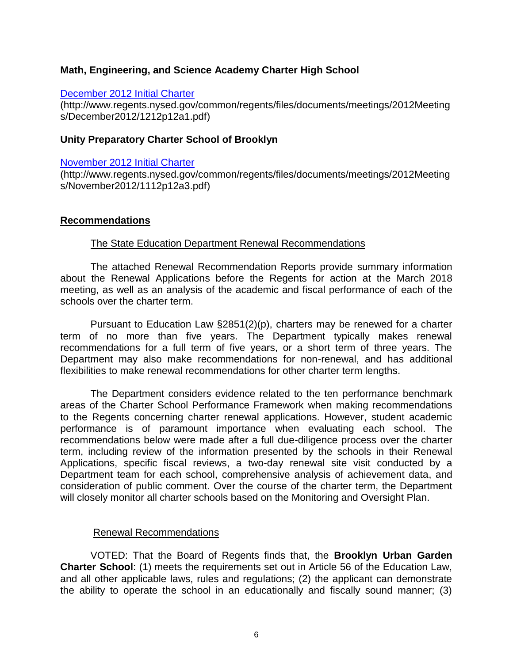# **Math, Engineering, and Science Academy Charter High School**

# [December 2012 Initial Charter](http://www.regents.nysed.gov/common/regents/files/documents/meetings/2012Meetings/December2012/1212p12a1.pdf)

(http://www.regents.nysed.gov/common/regents/files/documents/meetings/2012Meeting s/December2012/1212p12a1.pdf)

# **Unity Preparatory Charter School of Brooklyn**

# [November 2012 Initial Charter](http://www.regents.nysed.gov/common/regents/files/documents/meetings/2012Meetings/November2012/1112p12a3.pdf)

(http://www.regents.nysed.gov/common/regents/files/documents/meetings/2012Meeting s/November2012/1112p12a3.pdf)

# **Recommendations**

# The State Education Department Renewal Recommendations

The attached Renewal Recommendation Reports provide summary information about the Renewal Applications before the Regents for action at the March 2018 meeting, as well as an analysis of the academic and fiscal performance of each of the schools over the charter term.

Pursuant to Education Law §2851(2)(p), charters may be renewed for a charter term of no more than five years. The Department typically makes renewal recommendations for a full term of five years, or a short term of three years. The Department may also make recommendations for non-renewal, and has additional flexibilities to make renewal recommendations for other charter term lengths.

The Department considers evidence related to the ten performance benchmark areas of the Charter School Performance Framework when making recommendations to the Regents concerning charter renewal applications. However, student academic performance is of paramount importance when evaluating each school. The recommendations below were made after a full due-diligence process over the charter term, including review of the information presented by the schools in their Renewal Applications, specific fiscal reviews, a two-day renewal site visit conducted by a Department team for each school, comprehensive analysis of achievement data, and consideration of public comment. Over the course of the charter term, the Department will closely monitor all charter schools based on the Monitoring and Oversight Plan.

# Renewal Recommendations

VOTED: That the Board of Regents finds that, the **Brooklyn Urban Garden Charter School**: (1) meets the requirements set out in Article 56 of the Education Law, and all other applicable laws, rules and regulations; (2) the applicant can demonstrate the ability to operate the school in an educationally and fiscally sound manner; (3)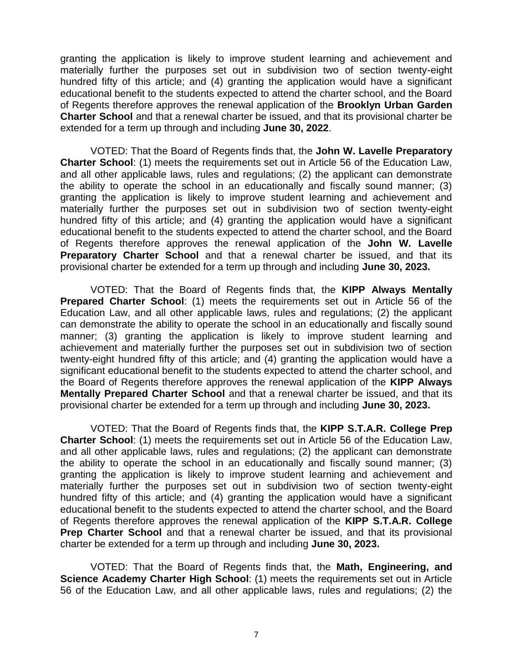granting the application is likely to improve student learning and achievement and materially further the purposes set out in subdivision two of section twenty-eight hundred fifty of this article; and (4) granting the application would have a significant educational benefit to the students expected to attend the charter school, and the Board of Regents therefore approves the renewal application of the **Brooklyn Urban Garden Charter School** and that a renewal charter be issued, and that its provisional charter be extended for a term up through and including **June 30, 2022**.

VOTED: That the Board of Regents finds that, the **John W. Lavelle Preparatory Charter School**: (1) meets the requirements set out in Article 56 of the Education Law, and all other applicable laws, rules and regulations; (2) the applicant can demonstrate the ability to operate the school in an educationally and fiscally sound manner; (3) granting the application is likely to improve student learning and achievement and materially further the purposes set out in subdivision two of section twenty-eight hundred fifty of this article; and (4) granting the application would have a significant educational benefit to the students expected to attend the charter school, and the Board of Regents therefore approves the renewal application of the **John W. Lavelle Preparatory Charter School** and that a renewal charter be issued, and that its provisional charter be extended for a term up through and including **June 30, 2023.**

VOTED: That the Board of Regents finds that, the **KIPP Always Mentally Prepared Charter School**: (1) meets the requirements set out in Article 56 of the Education Law, and all other applicable laws, rules and regulations; (2) the applicant can demonstrate the ability to operate the school in an educationally and fiscally sound manner; (3) granting the application is likely to improve student learning and achievement and materially further the purposes set out in subdivision two of section twenty-eight hundred fifty of this article; and (4) granting the application would have a significant educational benefit to the students expected to attend the charter school, and the Board of Regents therefore approves the renewal application of the **KIPP Always Mentally Prepared Charter School** and that a renewal charter be issued, and that its provisional charter be extended for a term up through and including **June 30, 2023.**

VOTED: That the Board of Regents finds that, the **KIPP S.T.A.R. College Prep Charter School**: (1) meets the requirements set out in Article 56 of the Education Law, and all other applicable laws, rules and regulations; (2) the applicant can demonstrate the ability to operate the school in an educationally and fiscally sound manner; (3) granting the application is likely to improve student learning and achievement and materially further the purposes set out in subdivision two of section twenty-eight hundred fifty of this article; and (4) granting the application would have a significant educational benefit to the students expected to attend the charter school, and the Board of Regents therefore approves the renewal application of the **KIPP S.T.A.R. College Prep Charter School** and that a renewal charter be issued, and that its provisional charter be extended for a term up through and including **June 30, 2023.**

VOTED: That the Board of Regents finds that, the **Math, Engineering, and Science Academy Charter High School**: (1) meets the requirements set out in Article 56 of the Education Law, and all other applicable laws, rules and regulations; (2) the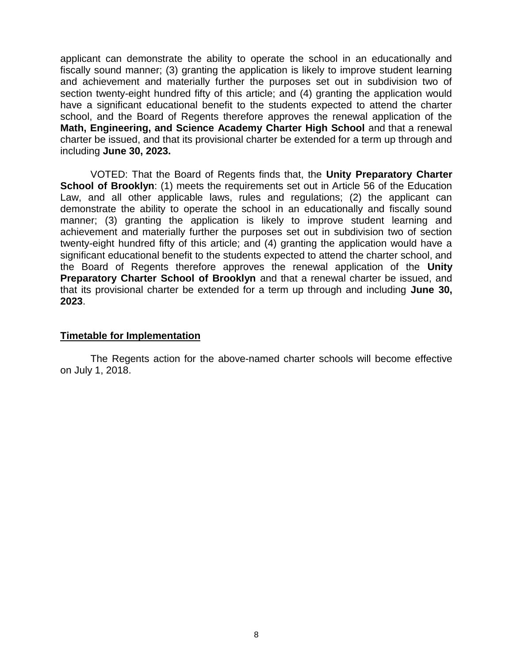applicant can demonstrate the ability to operate the school in an educationally and fiscally sound manner; (3) granting the application is likely to improve student learning and achievement and materially further the purposes set out in subdivision two of section twenty-eight hundred fifty of this article; and (4) granting the application would have a significant educational benefit to the students expected to attend the charter school, and the Board of Regents therefore approves the renewal application of the **Math, Engineering, and Science Academy Charter High School** and that a renewal charter be issued, and that its provisional charter be extended for a term up through and including **June 30, 2023.**

VOTED: That the Board of Regents finds that, the **Unity Preparatory Charter School of Brooklyn:** (1) meets the requirements set out in Article 56 of the Education Law, and all other applicable laws, rules and regulations; (2) the applicant can demonstrate the ability to operate the school in an educationally and fiscally sound manner; (3) granting the application is likely to improve student learning and achievement and materially further the purposes set out in subdivision two of section twenty-eight hundred fifty of this article; and (4) granting the application would have a significant educational benefit to the students expected to attend the charter school, and the Board of Regents therefore approves the renewal application of the **Unity Preparatory Charter School of Brooklyn** and that a renewal charter be issued, and that its provisional charter be extended for a term up through and including **June 30, 2023**.

# **Timetable for Implementation**

The Regents action for the above-named charter schools will become effective on July 1, 2018.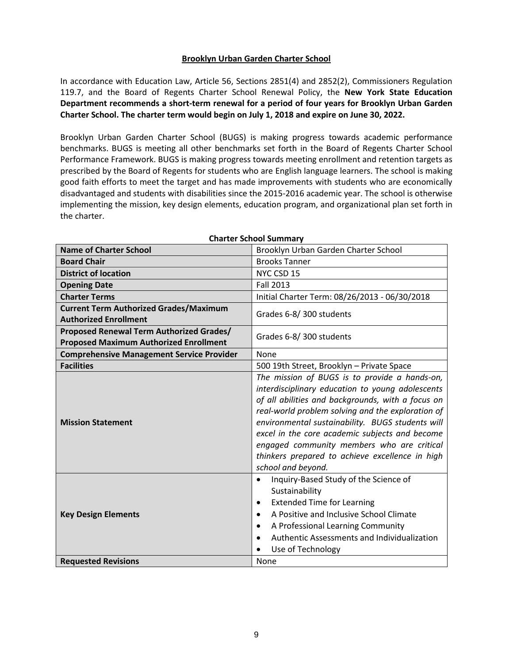# **Brooklyn Urban Garden Charter School**

In accordance with Education Law, Article 56, Sections 2851(4) and 2852(2), Commissioners Regulation 119.7, and the Board of Regents Charter School Renewal Policy, the **New York State Education Department recommends a short-term renewal for a period of four years for Brooklyn Urban Garden Charter School. The charter term would begin on July 1, 2018 and expire on June 30, 2022.**

Brooklyn Urban Garden Charter School (BUGS) is making progress towards academic performance benchmarks. BUGS is meeting all other benchmarks set forth in the Board of Regents Charter School Performance Framework. BUGS is making progress towards meeting enrollment and retention targets as prescribed by the Board of Regents for students who are English language learners. The school is making good faith efforts to meet the target and has made improvements with students who are economically disadvantaged and students with disabilities since the 2015-2016 academic year. The school is otherwise implementing the mission, key design elements, education program, and organizational plan set forth in the charter.

| <b>Name of Charter School</b>                    | Brooklyn Urban Garden Charter School                     |  |  |
|--------------------------------------------------|----------------------------------------------------------|--|--|
| <b>Board Chair</b>                               | <b>Brooks Tanner</b>                                     |  |  |
| <b>District of location</b>                      | NYC CSD 15                                               |  |  |
| <b>Opening Date</b>                              | <b>Fall 2013</b>                                         |  |  |
| <b>Charter Terms</b>                             | Initial Charter Term: 08/26/2013 - 06/30/2018            |  |  |
| <b>Current Term Authorized Grades/Maximum</b>    | Grades 6-8/300 students                                  |  |  |
| <b>Authorized Enrollment</b>                     |                                                          |  |  |
| <b>Proposed Renewal Term Authorized Grades/</b>  | Grades 6-8/300 students                                  |  |  |
| <b>Proposed Maximum Authorized Enrollment</b>    |                                                          |  |  |
| <b>Comprehensive Management Service Provider</b> | None                                                     |  |  |
| <b>Facilities</b>                                | 500 19th Street, Brooklyn - Private Space                |  |  |
|                                                  | The mission of BUGS is to provide a hands-on,            |  |  |
|                                                  | interdisciplinary education to young adolescents         |  |  |
|                                                  | of all abilities and backgrounds, with a focus on        |  |  |
|                                                  | real-world problem solving and the exploration of        |  |  |
| <b>Mission Statement</b>                         | environmental sustainability. BUGS students will         |  |  |
|                                                  | excel in the core academic subjects and become           |  |  |
|                                                  | engaged community members who are critical               |  |  |
|                                                  | thinkers prepared to achieve excellence in high          |  |  |
|                                                  | school and beyond.                                       |  |  |
|                                                  | Inquiry-Based Study of the Science of<br>$\bullet$       |  |  |
|                                                  | Sustainability                                           |  |  |
|                                                  | <b>Extended Time for Learning</b><br>٠                   |  |  |
| <b>Key Design Elements</b>                       | A Positive and Inclusive School Climate<br>$\bullet$     |  |  |
|                                                  | A Professional Learning Community<br>$\bullet$           |  |  |
|                                                  | Authentic Assessments and Individualization<br>$\bullet$ |  |  |
|                                                  | Use of Technology                                        |  |  |
| <b>Requested Revisions</b>                       | None                                                     |  |  |

#### **Charter School Summary**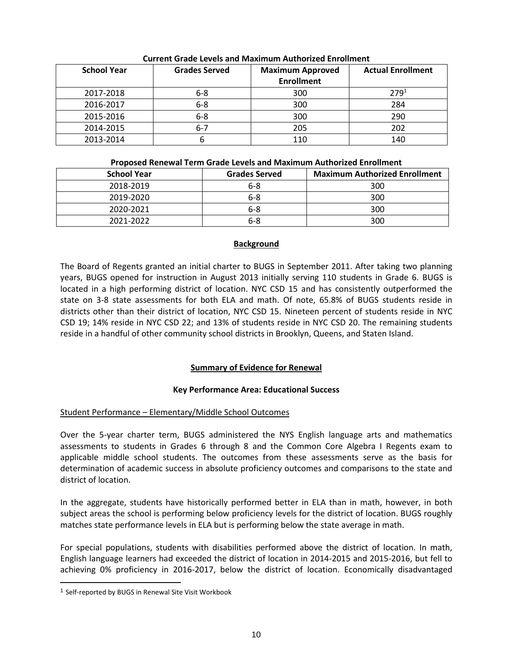| <b>School Year</b> | <b>Grades Served</b> | <b>Maximum Approved</b><br><b>Enrollment</b> | <b>Actual Enrollment</b> |
|--------------------|----------------------|----------------------------------------------|--------------------------|
| 2017-2018          | $6 - 8$              | 300                                          | $279^{1}$                |
| 2016-2017          | $6 - 8$              | 300                                          | 284                      |
| 2015-2016          | $6-8$                | 300                                          | 290                      |
| 2014-2015          | $6 - 7$              | 205                                          | 202                      |
| 2013-2014          |                      | 110                                          | 140                      |

# **Current Grade Levels and Maximum Authorized Enrollment**

### **Proposed Renewal Term Grade Levels and Maximum Authorized Enrollment**

| <b>School Year</b> | <b>Grades Served</b> | <b>Maximum Authorized Enrollment</b> |
|--------------------|----------------------|--------------------------------------|
| 2018-2019          | $6 - 8$              | 300                                  |
| 2019-2020          | $6 - 8$              | 300                                  |
| 2020-2021          | $6 - 8$              | 300                                  |
| 2021-2022          | 6-8                  | 300                                  |

# **Background**

The Board of Regents granted an initial charter to BUGS in September 2011. After taking two planning years, BUGS opened for instruction in August 2013 initially serving 110 students in Grade 6. BUGS is located in a high performing district of location. NYC CSD 15 and has consistently outperformed the state on 3-8 state assessments for both ELA and math. Of note, 65.8% of BUGS students reside in districts other than their district of location, NYC CSD 15. Nineteen percent of students reside in NYC CSD 19; 14% reside in NYC CSD 22; and 13% of students reside in NYC CSD 20. The remaining students reside in a handful of other community school districts in Brooklyn, Queens, and Staten Island.

# **Summary of Evidence for Renewal**

# **Key Performance Area: Educational Success**

# Student Performance – Elementary/Middle School Outcomes

Over the 5-year charter term, BUGS administered the NYS English language arts and mathematics assessments to students in Grades 6 through 8 and the Common Core Algebra I Regents exam to applicable middle school students. The outcomes from these assessments serve as the basis for determination of academic success in absolute proficiency outcomes and comparisons to the state and district of location.

In the aggregate, students have historically performed better in ELA than in math, however, in both subject areas the school is performing below proficiency levels for the district of location. BUGS roughly matches state performance levels in ELA but is performing below the state average in math.

For special populations, students with disabilities performed above the district of location. In math, English language learners had exceeded the district of location in 2014-2015 and 2015-2016, but fell to achieving 0% proficiency in 2016-2017, below the district of location. Economically disadvantaged

 $\overline{a}$ 

<sup>1</sup> Self-reported by BUGS in Renewal Site Visit Workbook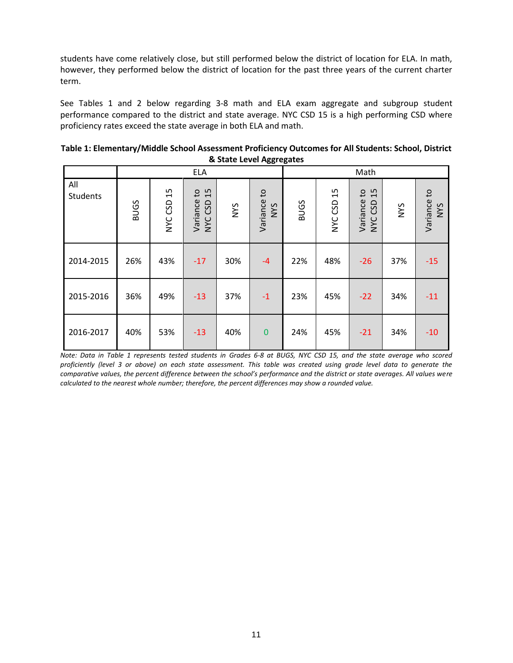students have come relatively close, but still performed below the district of location for ELA. In math, however, they performed below the district of location for the past three years of the current charter term.

See Tables 1 and 2 below regarding 3-8 math and ELA exam aggregate and subgroup student performance compared to the district and state average. NYC CSD 15 is a high performing CSD where proficiency rates exceed the state average in both ELA and math.

| Table 1: Elementary/Middle School Assessment Proficiency Outcomes for All Students: School, District |
|------------------------------------------------------------------------------------------------------|
| & State Level Aggregates                                                                             |

|                 |             |               | <b>ELA</b>                                |            |                           |             |               | Math                         |            |                           |
|-----------------|-------------|---------------|-------------------------------------------|------------|---------------------------|-------------|---------------|------------------------------|------------|---------------------------|
| All<br>Students | <b>BUGS</b> | 15<br>NYC CSD | 15<br>$\mathsf{c}$<br>Variance<br>NYC CSD | <b>NYS</b> | Variance to<br><b>NYS</b> | <b>BUGS</b> | 15<br>NYC CSD | 15<br>Variance to<br>NYC CSD | <b>NYS</b> | Variance to<br><b>SAN</b> |
| 2014-2015       | 26%         | 43%           | $-17$                                     | 30%        | $-4$                      | 22%         | 48%           | $-26$                        | 37%        | $-15$                     |
| 2015-2016       | 36%         | 49%           | $-13$                                     | 37%        | $-1$                      | 23%         | 45%           | $-22$                        | 34%        | $-11$                     |
| 2016-2017       | 40%         | 53%           | $-13$                                     | 40%        | $\overline{0}$            | 24%         | 45%           | $-21$                        | 34%        | $-10$                     |

*Note: Data in Table 1 represents tested students in Grades 6-8 at BUGS, NYC CSD 15, and the state average who scored proficiently (level 3 or above) on each state assessment. This table was created using grade level data to generate the comparative values, the percent difference between the school's performance and the district or state averages. All values were calculated to the nearest whole number; therefore, the percent differences may show a rounded value.*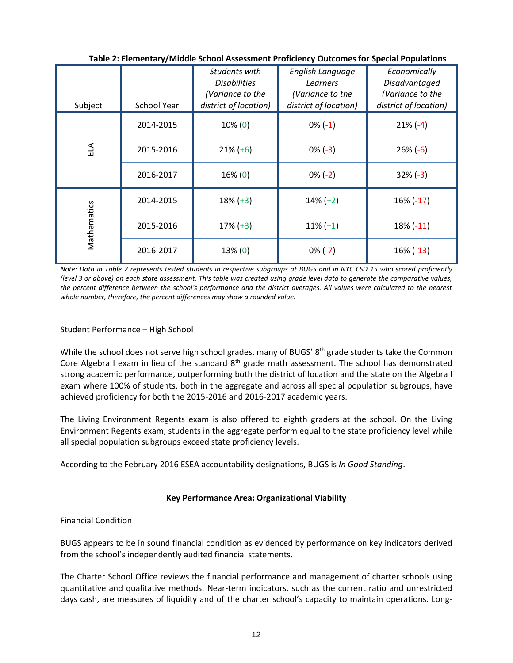| Subject     | <b>School Year</b> | Students with<br><b>Disabilities</b><br>(Variance to the<br>district of location) | English Language<br>Learners<br>(Variance to the<br>district of location) | Economically<br>Disadvantaged<br>(Variance to the<br>district of location) |
|-------------|--------------------|-----------------------------------------------------------------------------------|---------------------------------------------------------------------------|----------------------------------------------------------------------------|
|             | 2014-2015          | $10\%$ (0)                                                                        | $0\%(-1)$                                                                 | $21\%(-4)$                                                                 |
| ELA         | 2015-2016          | $21\% (+6)$                                                                       | $0\%(-3)$                                                                 | $26\% (-6)$                                                                |
|             | 2016-2017          | 16% (0)                                                                           | $0\% (-2)$                                                                | $32\%(-3)$                                                                 |
|             | 2014-2015          | $18\% (+3)$                                                                       | $14\% (+2)$                                                               | $16\% (-17)$                                                               |
| Mathematics | 2015-2016          | $17\% (+3)$                                                                       | $11\% (+1)$                                                               | $18\%$ (-11)                                                               |
|             | 2016-2017          | 13% (0)                                                                           | $0\% (-7)$                                                                | 16% (-13)                                                                  |

**Table 2: Elementary/Middle School Assessment Proficiency Outcomes for Special Populations**

*Note: Data in Table 2 represents tested students in respective subgroups at BUGS and in NYC CSD 15 who scored proficiently (level 3 or above) on each state assessment. This table was created using grade level data to generate the comparative values, the percent difference between the school's performance and the district averages. All values were calculated to the nearest whole number, therefore, the percent differences may show a rounded value.*

# Student Performance – High School

While the school does not serve high school grades, many of BUGS' 8<sup>th</sup> grade students take the Common Core Algebra I exam in lieu of the standard 8<sup>th</sup> grade math assessment. The school has demonstrated strong academic performance, outperforming both the district of location and the state on the Algebra I exam where 100% of students, both in the aggregate and across all special population subgroups, have achieved proficiency for both the 2015-2016 and 2016-2017 academic years.

The Living Environment Regents exam is also offered to eighth graders at the school. On the Living Environment Regents exam, students in the aggregate perform equal to the state proficiency level while all special population subgroups exceed state proficiency levels.

According to the February 2016 ESEA accountability designations, BUGS is *In Good Standing*.

# **Key Performance Area: Organizational Viability**

# Financial Condition

BUGS appears to be in sound financial condition as evidenced by performance on key indicators derived from the school's independently audited financial statements.

The Charter School Office reviews the financial performance and management of charter schools using quantitative and qualitative methods. Near‐term indicators, such as the current ratio and unrestricted days cash, are measures of liquidity and of the charter school's capacity to maintain operations. Long‐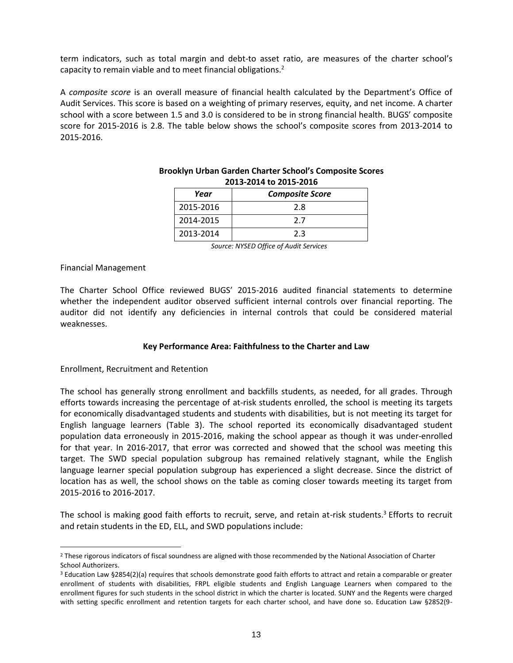term indicators, such as total margin and debt-to asset ratio, are measures of the charter school's capacity to remain viable and to meet financial obligations.<sup>2</sup>

A *composite score* is an overall measure of financial health calculated by the Department's Office of Audit Services. This score is based on a weighting of primary reserves, equity, and net income. A charter school with a score between 1.5 and 3.0 is considered to be in strong financial health. BUGS' composite score for 2015-2016 is 2.8. The table below shows the school's composite scores from 2013-2014 to 2015-2016.

| $2013 - 2017$ to $2013 - 2010$ |                        |  |  |  |  |  |  |
|--------------------------------|------------------------|--|--|--|--|--|--|
| Year                           | <b>Composite Score</b> |  |  |  |  |  |  |
| 2015-2016                      | 2.8                    |  |  |  |  |  |  |
| 2014-2015                      | 27                     |  |  |  |  |  |  |
| 2013-2014                      | 2.3                    |  |  |  |  |  |  |

#### **Brooklyn Urban Garden Charter School's Composite Scores 2013-2014 to 2015-2016**

*Source: NYSED Office of Audit Services*

# Financial Management

 $\overline{a}$ 

The Charter School Office reviewed BUGS' 2015-2016 audited financial statements to determine whether the independent auditor observed sufficient internal controls over financial reporting. The auditor did not identify any deficiencies in internal controls that could be considered material weaknesses.

#### **Key Performance Area: Faithfulness to the Charter and Law**

# Enrollment, Recruitment and Retention

The school has generally strong enrollment and backfills students, as needed, for all grades. Through efforts towards increasing the percentage of at-risk students enrolled, the school is meeting its targets for economically disadvantaged students and students with disabilities, but is not meeting its target for English language learners (Table 3). The school reported its economically disadvantaged student population data erroneously in 2015-2016, making the school appear as though it was under-enrolled for that year. In 2016-2017, that error was corrected and showed that the school was meeting this target. The SWD special population subgroup has remained relatively stagnant, while the English language learner special population subgroup has experienced a slight decrease. Since the district of location has as well, the school shows on the table as coming closer towards meeting its target from 2015-2016 to 2016-2017.

The school is making good faith efforts to recruit, serve, and retain at-risk students.<sup>3</sup> Efforts to recruit and retain students in the ED, ELL, and SWD populations include:

<sup>&</sup>lt;sup>2</sup> These rigorous indicators of fiscal soundness are aligned with those recommended by the National Association of Charter School Authorizers.

<sup>3</sup> Education Law §2854(2)(a) requires that schools demonstrate good faith efforts to attract and retain a comparable or greater enrollment of students with disabilities, FRPL eligible students and English Language Learners when compared to the enrollment figures for such students in the school district in which the charter is located. SUNY and the Regents were charged with setting specific enrollment and retention targets for each charter school, and have done so. Education Law §2852(9-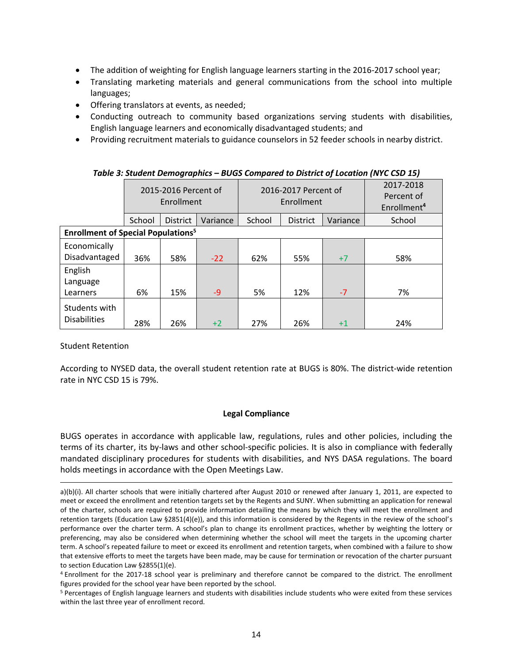- The addition of weighting for English language learners starting in the 2016-2017 school year;
- Translating marketing materials and general communications from the school into multiple languages;
- Offering translators at events, as needed;
- Conducting outreach to community based organizations serving students with disabilities, English language learners and economically disadvantaged students; and
- Providing recruitment materials to guidance counselors in 52 feeder schools in nearby district.

|                                                      | 2015-2016 Percent of<br>Enrollment |                 |          | 2016-2017 Percent of<br>Enrollment |                 |          | 2017-2018<br>Percent of<br>Enrollment <sup>4</sup> |
|------------------------------------------------------|------------------------------------|-----------------|----------|------------------------------------|-----------------|----------|----------------------------------------------------|
|                                                      | School                             | <b>District</b> | Variance | School                             | <b>District</b> | Variance | School                                             |
| <b>Enrollment of Special Populations<sup>5</sup></b> |                                    |                 |          |                                    |                 |          |                                                    |
| Economically<br>Disadvantaged                        | 36%                                | 58%             | $-22$    | 62%                                | 55%             | $+7$     | 58%                                                |
| English<br>Language<br>Learners                      | 6%                                 | 15%             | $-9$     | 5%                                 | 12%             | $-7$     | 7%                                                 |
| Students with<br><b>Disabilities</b>                 | 28%                                | 26%             | $+2$     | 27%                                | 26%             | $+1$     | 24%                                                |

# *Table 3: Student Demographics – BUGS Compared to District of Location (NYC CSD 15)*

Student Retention

 $\overline{a}$ 

According to NYSED data, the overall student retention rate at BUGS is 80%. The district-wide retention rate in NYC CSD 15 is 79%.

# **Legal Compliance**

BUGS operates in accordance with applicable law, regulations, rules and other policies, including the terms of its charter, its by-laws and other school-specific policies. It is also in compliance with federally mandated disciplinary procedures for students with disabilities, and NYS DASA regulations. The board holds meetings in accordance with the Open Meetings Law.

a)(b)(i). All charter schools that were initially chartered after August 2010 or renewed after January 1, 2011, are expected to meet or exceed the enrollment and retention targets set by the Regents and SUNY. When submitting an application for renewal of the charter, schools are required to provide information detailing the means by which they will meet the enrollment and retention targets (Education Law §2851(4)(e)), and this information is considered by the Regents in the review of the school's performance over the charter term. A school's plan to change its enrollment practices, whether by weighting the lottery or preferencing, may also be considered when determining whether the school will meet the targets in the upcoming charter term. A school's repeated failure to meet or exceed its enrollment and retention targets, when combined with a failure to show that extensive efforts to meet the targets have been made, may be cause for termination or revocation of the charter pursuant to section Education Law §2855(1)(e).

<sup>4</sup> Enrollment for the 2017-18 school year is preliminary and therefore cannot be compared to the district. The enrollment figures provided for the school year have been reported by the school.

<sup>5</sup> Percentages of English language learners and students with disabilities include students who were exited from these services within the last three year of enrollment record.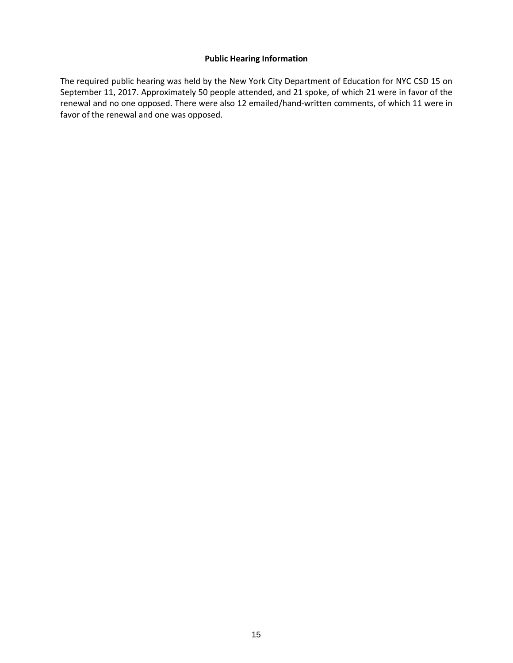### **Public Hearing Information**

The required public hearing was held by the New York City Department of Education for NYC CSD 15 on September 11, 2017. Approximately 50 people attended, and 21 spoke, of which 21 were in favor of the renewal and no one opposed. There were also 12 emailed/hand-written comments, of which 11 were in favor of the renewal and one was opposed.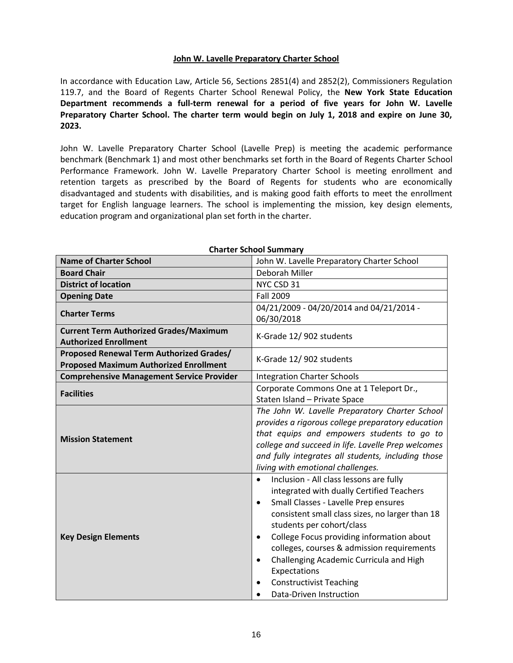# **John W. Lavelle Preparatory Charter School**

In accordance with Education Law, Article 56, Sections 2851(4) and 2852(2), Commissioners Regulation 119.7, and the Board of Regents Charter School Renewal Policy, the **New York State Education Department recommends a full-term renewal for a period of five years for John W. Lavelle Preparatory Charter School. The charter term would begin on July 1, 2018 and expire on June 30, 2023.**

John W. Lavelle Preparatory Charter School (Lavelle Prep) is meeting the academic performance benchmark (Benchmark 1) and most other benchmarks set forth in the Board of Regents Charter School Performance Framework. John W. Lavelle Preparatory Charter School is meeting enrollment and retention targets as prescribed by the Board of Regents for students who are economically disadvantaged and students with disabilities, and is making good faith efforts to meet the enrollment target for English language learners. The school is implementing the mission, key design elements, education program and organizational plan set forth in the charter.

| <b>Name of Charter School</b>                    | John W. Lavelle Preparatory Charter School             |  |  |
|--------------------------------------------------|--------------------------------------------------------|--|--|
| <b>Board Chair</b>                               | Deborah Miller                                         |  |  |
| <b>District of location</b>                      | NYC CSD 31                                             |  |  |
| <b>Opening Date</b>                              | <b>Fall 2009</b>                                       |  |  |
| <b>Charter Terms</b>                             | 04/21/2009 - 04/20/2014 and 04/21/2014 -               |  |  |
|                                                  | 06/30/2018                                             |  |  |
| <b>Current Term Authorized Grades/Maximum</b>    | K-Grade 12/902 students                                |  |  |
| <b>Authorized Enrollment</b>                     |                                                        |  |  |
| <b>Proposed Renewal Term Authorized Grades/</b>  | K-Grade 12/902 students                                |  |  |
| <b>Proposed Maximum Authorized Enrollment</b>    |                                                        |  |  |
| <b>Comprehensive Management Service Provider</b> | <b>Integration Charter Schools</b>                     |  |  |
| <b>Facilities</b>                                | Corporate Commons One at 1 Teleport Dr.,               |  |  |
|                                                  | Staten Island - Private Space                          |  |  |
|                                                  | The John W. Lavelle Preparatory Charter School         |  |  |
|                                                  | provides a rigorous college preparatory education      |  |  |
| <b>Mission Statement</b>                         | that equips and empowers students to go to             |  |  |
|                                                  | college and succeed in life. Lavelle Prep welcomes     |  |  |
|                                                  | and fully integrates all students, including those     |  |  |
|                                                  | living with emotional challenges.                      |  |  |
|                                                  | Inclusion - All class lessons are fully<br>$\bullet$   |  |  |
|                                                  | integrated with dually Certified Teachers              |  |  |
|                                                  | Small Classes - Lavelle Prep ensures<br>$\bullet$      |  |  |
|                                                  | consistent small class sizes, no larger than 18        |  |  |
|                                                  | students per cohort/class                              |  |  |
| <b>Key Design Elements</b>                       | College Focus providing information about<br>$\bullet$ |  |  |
|                                                  | colleges, courses & admission requirements             |  |  |
|                                                  | Challenging Academic Curricula and High<br>$\bullet$   |  |  |
|                                                  | Expectations                                           |  |  |
|                                                  | <b>Constructivist Teaching</b>                         |  |  |
|                                                  | Data-Driven Instruction                                |  |  |

#### **Charter School Summary**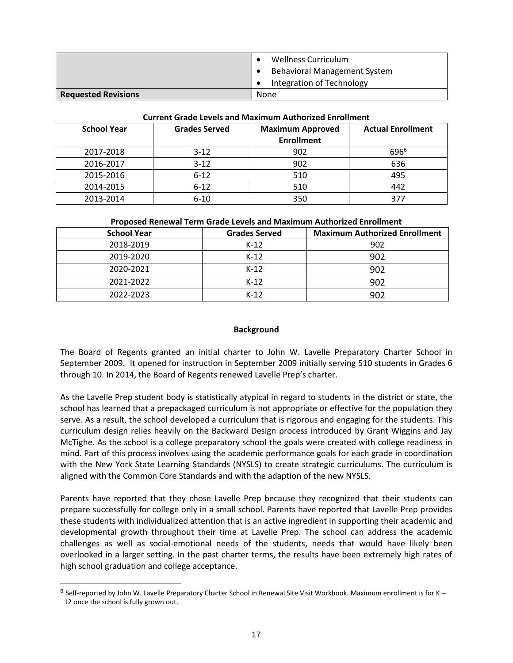|                            | Wellness Curriculum                 |
|----------------------------|-------------------------------------|
|                            | <b>Behavioral Management System</b> |
|                            | Integration of Technology           |
| <b>Requested Revisions</b> | None                                |

#### **Current Grade Levels and Maximum Authorized Enrollment**

| <b>School Year</b> | <b>Grades Served</b> | <b>Maximum Approved</b><br><b>Enrollment</b> | <b>Actual Enrollment</b> |
|--------------------|----------------------|----------------------------------------------|--------------------------|
| 2017-2018          | $3 - 12$             | 902                                          | 696 <sup>6</sup>         |
| 2016-2017          | $3-12$               | 902                                          | 636                      |
| 2015-2016          | $6 - 12$             | 510                                          | 495                      |
| 2014-2015          | $6 - 12$             | 510                                          | 442                      |
| 2013-2014          | $6 - 10$             | 350                                          | 37                       |

|                    | T TODOSCA INCHEWAT TEHIN ORAGE ECVERS AND MIGANITANI AQUITOREED ENTOINING |                                      |  |  |  |  |  |
|--------------------|---------------------------------------------------------------------------|--------------------------------------|--|--|--|--|--|
| <b>School Year</b> | <b>Grades Served</b>                                                      | <b>Maximum Authorized Enrollment</b> |  |  |  |  |  |
| 2018-2019          | $K-12$                                                                    | 902                                  |  |  |  |  |  |
| 2019-2020          | $K-12$                                                                    | 902                                  |  |  |  |  |  |
| 2020-2021          | $K-12$                                                                    | 902                                  |  |  |  |  |  |
| 2021-2022          | $K-12$                                                                    | 902                                  |  |  |  |  |  |
| 2022-2023          | $K-12$                                                                    | 902                                  |  |  |  |  |  |

### **Proposed Renewal Term Grade Levels and Maximum Authorized Enrollment**

### **Background**

The Board of Regents granted an initial charter to John W. Lavelle Preparatory Charter School in September 2009. It opened for instruction in September 2009 initially serving 510 students in Grades 6 through 10. In 2014, the Board of Regents renewed Lavelle Prep's charter.

As the Lavelle Prep student body is statistically atypical in regard to students in the district or state, the school has learned that a prepackaged curriculum is not appropriate or effective for the population they serve. As a result, the school developed a curriculum that is rigorous and engaging for the students. This curriculum design relies heavily on the Backward Design process introduced by Grant Wiggins and Jay McTighe. As the school is a college preparatory school the goals were created with college readiness in mind. Part of this process involves using the academic performance goals for each grade in coordination with the New York State Learning Standards (NYSLS) to create strategic curriculums. The curriculum is aligned with the Common Core Standards and with the adaption of the new NYSLS.

Parents have reported that they chose Lavelle Prep because they recognized that their students can prepare successfully for college only in a small school. Parents have reported that Lavelle Prep provides these students with individualized attention that is an active ingredient in supporting their academic and developmental growth throughout their time at Lavelle Prep. The school can address the academic challenges as well as social-emotional needs of the students, needs that would have likely been overlooked in a larger setting. In the past charter terms, the results have been extremely high rates of high school graduation and college acceptance.

 $\overline{a}$ 

 $6$  Self-reported by John W. Lavelle Preparatory Charter School in Renewal Site Visit Workbook. Maximum enrollment is for K – 12 once the school is fully grown out.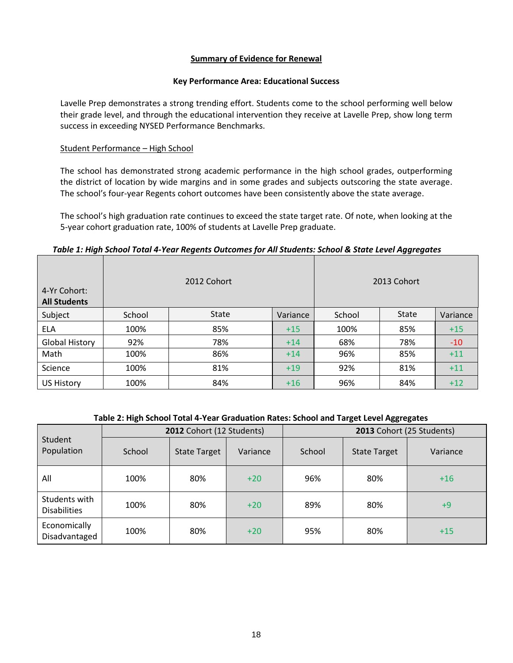# **Summary of Evidence for Renewal**

#### **Key Performance Area: Educational Success**

Lavelle Prep demonstrates a strong trending effort. Students come to the school performing well below their grade level, and through the educational intervention they receive at Lavelle Prep, show long term success in exceeding NYSED Performance Benchmarks.

# Student Performance – High School

The school has demonstrated strong academic performance in the high school grades, outperforming the district of location by wide margins and in some grades and subjects outscoring the state average. The school's four-year Regents cohort outcomes have been consistently above the state average.

The school's high graduation rate continues to exceed the state target rate. Of note, when looking at the 5-year cohort graduation rate, 100% of students at Lavelle Prep graduate.

### *Table 1: High School Total 4-Year Regents Outcomes for All Students: School & State Level Aggregates*

| 4-Yr Cohort:<br><b>All Students</b> |        | 2012 Cohort |          |        | 2013 Cohort  |          |
|-------------------------------------|--------|-------------|----------|--------|--------------|----------|
| Subject                             | School | State       | Variance | School | <b>State</b> | Variance |
| <b>ELA</b>                          | 100%   | 85%         | $+15$    | 100%   | 85%          | $+15$    |
| <b>Global History</b>               | 92%    | 78%         | $+14$    | 68%    | 78%          | $-10$    |
| Math                                | 100%   | 86%         | $+14$    | 96%    | 85%          | $+11$    |
| Science                             | 100%   | 81%         | $+19$    | 92%    | 81%          | $+11$    |
| <b>US History</b>                   | 100%   | 84%         | $+16$    | 96%    | 84%          | $+12$    |

#### **Table 2: High School Total 4-Year Graduation Rates: School and Target Level Aggregates**

|                                      |        | 2012 Cohort (12 Students) |          | 2013 Cohort (25 Students) |                     |          |
|--------------------------------------|--------|---------------------------|----------|---------------------------|---------------------|----------|
| Student<br>Population                | School | <b>State Target</b>       | Variance | School                    | <b>State Target</b> | Variance |
| All                                  | 100%   | 80%                       | $+20$    | 96%                       | 80%                 | $+16$    |
| Students with<br><b>Disabilities</b> | 100%   | 80%                       | $+20$    | 89%                       | 80%                 | $+9$     |
| Economically<br>Disadvantaged        | 100%   | 80%                       | $+20$    | 95%                       | 80%                 | $+15$    |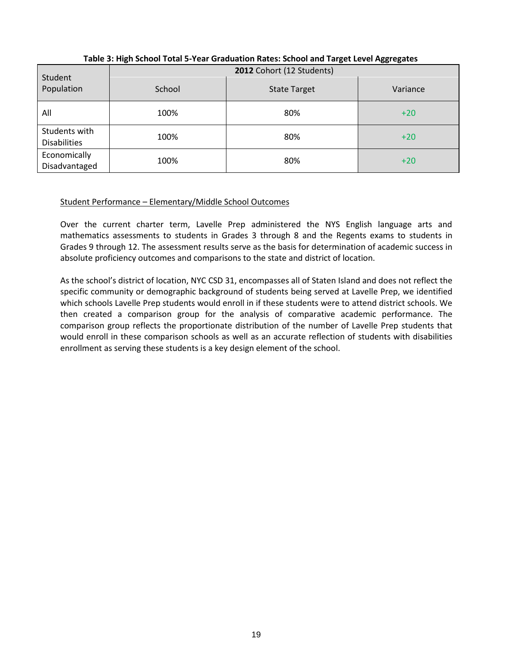|                                      |        | 2012 Cohort (12 Students) | -00 - 0 - - - - |
|--------------------------------------|--------|---------------------------|-----------------|
| Student<br>Population                | School | <b>State Target</b>       | Variance        |
| All                                  | 100%   | 80%                       | $+20$           |
| Students with<br><b>Disabilities</b> | 100%   | 80%                       | $+20$           |
| Economically<br>Disadvantaged        | 100%   | 80%                       | $+20$           |

**Table 3: High School Total 5-Year Graduation Rates: School and Target Level Aggregates**

# Student Performance – Elementary/Middle School Outcomes

Over the current charter term, Lavelle Prep administered the NYS English language arts and mathematics assessments to students in Grades 3 through 8 and the Regents exams to students in Grades 9 through 12. The assessment results serve as the basis for determination of academic success in absolute proficiency outcomes and comparisons to the state and district of location.

As the school's district of location, NYC CSD 31, encompasses all of Staten Island and does not reflect the specific community or demographic background of students being served at Lavelle Prep, we identified which schools Lavelle Prep students would enroll in if these students were to attend district schools. We then created a comparison group for the analysis of comparative academic performance. The comparison group reflects the proportionate distribution of the number of Lavelle Prep students that would enroll in these comparison schools as well as an accurate reflection of students with disabilities enrollment as serving these students is a key design element of the school.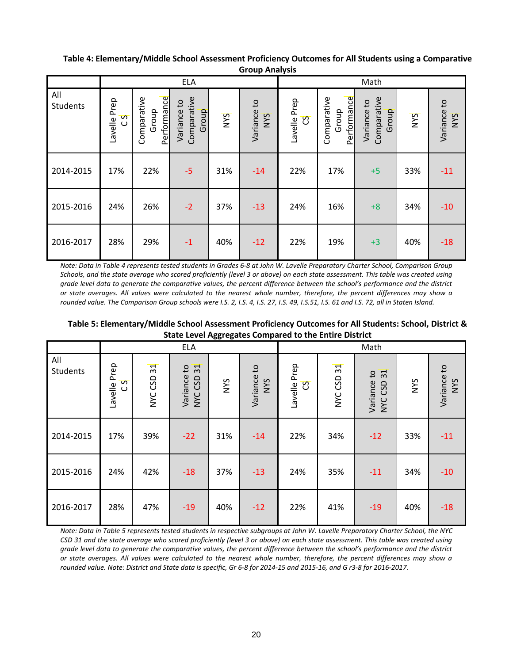### **Table 4: Elementary/Middle School Assessment Proficiency Outcomes for All Students using a Comparative Group Analysis**

|                 |                     |                                     | <b>ELA</b>                          |     |                    |                          |                                     | Math                                |            |                    |
|-----------------|---------------------|-------------------------------------|-------------------------------------|-----|--------------------|--------------------------|-------------------------------------|-------------------------------------|------------|--------------------|
| All<br>Students | Lavelle Prep<br>c s | Performance<br>Comparative<br>Group | Comparative<br>Variance to<br>Group | NYS | Variance to<br>NYS | Lavelle Prep<br><u>ය</u> | Performance<br>Comparative<br>Group | Comparative<br>Variance to<br>Group | <b>SAN</b> | Variance to<br>NYS |
| 2014-2015       | 17%                 | 22%                                 | $-5$                                | 31% | $-14$              | 22%                      | 17%                                 | $+5$                                | 33%        | $-11$              |
| 2015-2016       | 24%                 | 26%                                 | $-2$                                | 37% | $-13$              | 24%                      | 16%                                 | $+8$                                | 34%        | $-10$              |
| 2016-2017       | 28%                 | 29%                                 | $-1$                                | 40% | $-12$              | 22%                      | 19%                                 | $+3$                                | 40%        | $-18$              |

*Note: Data in Table 4 represents tested students in Grades 6-8 at John W. Lavelle Preparatory Charter School, Comparison Group Schools, and the state average who scored proficiently (level 3 or above) on each state assessment. This table was created using grade level data to generate the comparative values, the percent difference between the school's performance and the district or state averages. All values were calculated to the nearest whole number, therefore, the percent differences may show a rounded value. The Comparison Group schools were I.S. 2, I.S. 4, I.S. 27, I.S. 49, I.S.51, I.S. 61 and I.S. 72, all in Staten Island.* 

**Table 5: Elementary/Middle School Assessment Proficiency Outcomes for All Students: School, District & State Level Aggregates Compared to the Entire District**

|                        |                             |                            | <b>ELA</b>                                            | -00: -0- |                           | Math              |            |                              |            |                    |
|------------------------|-----------------------------|----------------------------|-------------------------------------------------------|----------|---------------------------|-------------------|------------|------------------------------|------------|--------------------|
| All<br><b>Students</b> | Lavelle Prep<br>S<br>$\cup$ | $\overline{31}$<br>NYC CSD | 31<br>$\mathsf{c}_1$<br>Variance<br>CSD<br><b>NYC</b> | NYS      | Variance to<br><b>SAN</b> | Lavelle Prep<br>უ | NYC CSD 31 | 31<br>Variance to<br>NYC CSD | <b>NYS</b> | Variance to<br>NYS |
| 2014-2015              | 17%                         | 39%                        | $-22$                                                 | 31%      | $-14$                     | 22%               | 34%        | $-12$                        | 33%        | $-11$              |
| 2015-2016              | 24%                         | 42%                        | $-18$                                                 | 37%      | $-13$                     | 24%               | 35%        | $-11$                        | 34%        | $-10$              |
| 2016-2017              | 28%                         | 47%                        | $-19$                                                 | 40%      | $-12$                     | 22%               | 41%        | $-19$                        | 40%        | $-18$              |

*Note: Data in Table 5 represents tested students in respective subgroups at John W. Lavelle Preparatory Charter School, the NYC CSD 31 and the state average who scored proficiently (level 3 or above) on each state assessment. This table was created using grade level data to generate the comparative values, the percent difference between the school's performance and the district or state averages. All values were calculated to the nearest whole number, therefore, the percent differences may show a rounded value. Note: District and State data is specific, Gr 6-8 for 2014-15 and 2015-16, and G r3-8 for 2016-2017.*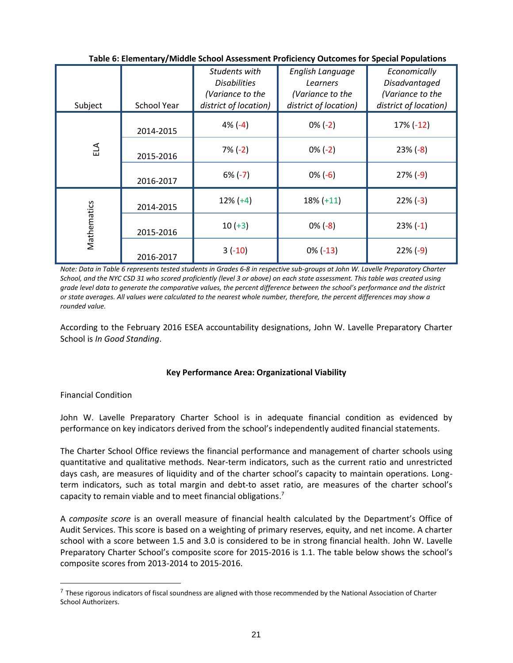| Subject     | <b>School Year</b> | Students with<br><b>Disabilities</b><br>(Variance to the<br>district of location) | English Language<br>Learners<br>(Variance to the<br>district of location) | Economically<br>Disadvantaged<br>(Variance to the<br>district of location) |
|-------------|--------------------|-----------------------------------------------------------------------------------|---------------------------------------------------------------------------|----------------------------------------------------------------------------|
|             |                    |                                                                                   |                                                                           |                                                                            |
|             | 2014-2015          | $4\%(-4)$                                                                         | $0\% (-2)$                                                                | $17\% (-12)$                                                               |
| ELA         | 2015-2016          | $7\% (-2)$                                                                        | $0\% (-2)$                                                                | $23% (-8)$                                                                 |
|             | 2016-2017          | $6\% (-7)$                                                                        | $0\% (-6)$                                                                | $27\%(-9)$                                                                 |
|             | 2014-2015          | $12\% (+4)$                                                                       | $18\% (+11)$                                                              | $22\%(-3)$                                                                 |
| Mathematics | 2015-2016          | $10 (+3)$                                                                         | $0\%(-8)$                                                                 | $23% (-1)$                                                                 |
|             | 2016-2017          | $3(-10)$                                                                          | $0\%$ (-13)                                                               | $22\%(-9)$                                                                 |

**Table 6: Elementary/Middle School Assessment Proficiency Outcomes for Special Populations**

*Note: Data in Table 6 represents tested students in Grades 6-8 in respective sub-groups at John W. Lavelle Preparatory Charter School, and the NYC CSD 31 who scored proficiently (level 3 or above) on each state assessment. This table was created using grade level data to generate the comparative values, the percent difference between the school's performance and the district or state averages. All values were calculated to the nearest whole number, therefore, the percent differences may show a rounded value.*

According to the February 2016 ESEA accountability designations, John W. Lavelle Preparatory Charter School is *In Good Standing*.

# **Key Performance Area: Organizational Viability**

Financial Condition

 $\overline{a}$ 

John W. Lavelle Preparatory Charter School is in adequate financial condition as evidenced by performance on key indicators derived from the school's independently audited financial statements.

The Charter School Office reviews the financial performance and management of charter schools using quantitative and qualitative methods. Near‐term indicators, such as the current ratio and unrestricted days cash, are measures of liquidity and of the charter school's capacity to maintain operations. Long‐ term indicators, such as total margin and debt-to asset ratio, are measures of the charter school's capacity to remain viable and to meet financial obligations.<sup>7</sup>

A *composite score* is an overall measure of financial health calculated by the Department's Office of Audit Services. This score is based on a weighting of primary reserves, equity, and net income. A charter school with a score between 1.5 and 3.0 is considered to be in strong financial health. John W. Lavelle Preparatory Charter School's composite score for 2015-2016 is 1.1. The table below shows the school's composite scores from 2013-2014 to 2015-2016.

 $<sup>7</sup>$  These rigorous indicators of fiscal soundness are aligned with those recommended by the National Association of Charter</sup> School Authorizers.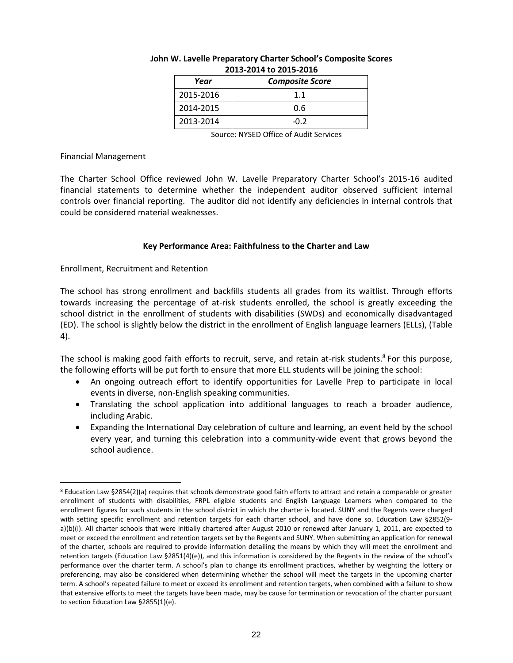| Year      | <b>Composite Score</b> |
|-----------|------------------------|
| 2015-2016 | 11                     |
| 2014-2015 | 0.6                    |
| 2013-2014 | -0.2                   |

### **John W. Lavelle Preparatory Charter School's Composite Scores 2013-2014 to 2015-2016**

Source: NYSED Office of Audit Services

### Financial Management

The Charter School Office reviewed John W. Lavelle Preparatory Charter School's 2015-16 audited financial statements to determine whether the independent auditor observed sufficient internal controls over financial reporting. The auditor did not identify any deficiencies in internal controls that could be considered material weaknesses.

# **Key Performance Area: Faithfulness to the Charter and Law**

Enrollment, Recruitment and Retention

The school has strong enrollment and backfills students all grades from its waitlist. Through efforts towards increasing the percentage of at-risk students enrolled, the school is greatly exceeding the school district in the enrollment of students with disabilities (SWDs) and economically disadvantaged (ED). The school is slightly below the district in the enrollment of English language learners (ELLs), (Table 4).

The school is making good faith efforts to recruit, serve, and retain at-risk students.<sup>8</sup> For this purpose, the following efforts will be put forth to ensure that more ELL students will be joining the school:

- An ongoing outreach effort to identify opportunities for Lavelle Prep to participate in local events in diverse, non-English speaking communities.
- Translating the school application into additional languages to reach a broader audience, including Arabic.
- Expanding the International Day celebration of culture and learning, an event held by the school every year, and turning this celebration into a community-wide event that grows beyond the school audience.

 $\overline{a}$ <sup>8</sup> Education Law §2854(2)(a) requires that schools demonstrate good faith efforts to attract and retain a comparable or greater enrollment of students with disabilities, FRPL eligible students and English Language Learners when compared to the enrollment figures for such students in the school district in which the charter is located. SUNY and the Regents were charged with setting specific enrollment and retention targets for each charter school, and have done so. Education Law §2852(9 a)(b)(i). All charter schools that were initially chartered after August 2010 or renewed after January 1, 2011, are expected to meet or exceed the enrollment and retention targets set by the Regents and SUNY. When submitting an application for renewal of the charter, schools are required to provide information detailing the means by which they will meet the enrollment and retention targets (Education Law §2851(4)(e)), and this information is considered by the Regents in the review of the school's performance over the charter term. A school's plan to change its enrollment practices, whether by weighting the lottery or preferencing, may also be considered when determining whether the school will meet the targets in the upcoming charter term. A school's repeated failure to meet or exceed its enrollment and retention targets, when combined with a failure to show that extensive efforts to meet the targets have been made, may be cause for termination or revocation of the charter pursuant to section Education Law §2855(1)(e).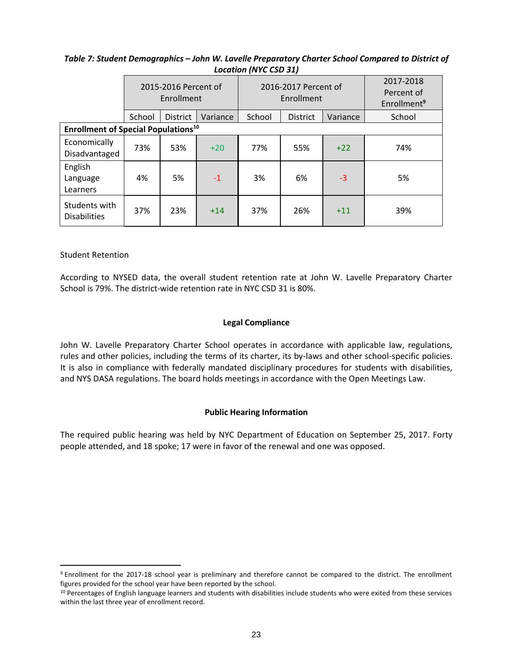|                                            | 2015-2016 Percent of<br>Enrollment |                                                                      |       |        | 2016-2017 Percent of<br>Enrollment | 2017-2018<br>Percent of<br>Enrollment <sup>9</sup> |     |
|--------------------------------------------|------------------------------------|----------------------------------------------------------------------|-------|--------|------------------------------------|----------------------------------------------------|-----|
|                                            | School                             | School<br>Variance<br><b>District</b><br><b>District</b><br>Variance |       | School |                                    |                                                    |     |
| <b>Enrollment of Special Populations10</b> |                                    |                                                                      |       |        |                                    |                                                    |     |
| Economically<br>Disadvantaged              | 73%                                | 53%                                                                  | $+20$ | 77%    | 55%                                | $+22$                                              | 74% |
| English<br>Language<br>Learners            | 4%                                 | 5%                                                                   | $-1$  | 3%     | 6%                                 | $-3$                                               | 5%  |
| Students with<br><b>Disabilities</b>       | 37%                                | 23%                                                                  | $+14$ | 37%    | 26%                                | $+11$                                              | 39% |

# *Table 7: Student Demographics – John W. Lavelle Preparatory Charter School Compared to District of Location (NYC CSD 31)*

# Student Retention

 $\overline{a}$ 

According to NYSED data, the overall student retention rate at John W. Lavelle Preparatory Charter School is 79%. The district-wide retention rate in NYC CSD 31 is 80%.

### **Legal Compliance**

John W. Lavelle Preparatory Charter School operates in accordance with applicable law, regulations, rules and other policies, including the terms of its charter, its by-laws and other school-specific policies. It is also in compliance with federally mandated disciplinary procedures for students with disabilities, and NYS DASA regulations. The board holds meetings in accordance with the Open Meetings Law.

# **Public Hearing Information**

The required public hearing was held by NYC Department of Education on September 25, 2017. Forty people attended, and 18 spoke; 17 were in favor of the renewal and one was opposed.

<sup>9</sup> Enrollment for the 2017-18 school year is preliminary and therefore cannot be compared to the district. The enrollment figures provided for the school year have been reported by the school.

<sup>&</sup>lt;sup>10</sup> Percentages of English language learners and students with disabilities include students who were exited from these services within the last three year of enrollment record.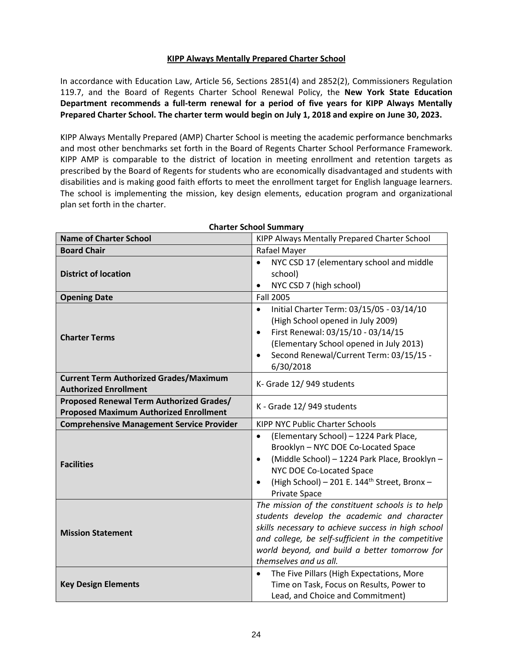# **KIPP Always Mentally Prepared Charter School**

In accordance with Education Law, Article 56, Sections 2851(4) and 2852(2), Commissioners Regulation 119.7, and the Board of Regents Charter School Renewal Policy, the **New York State Education Department recommends a full-term renewal for a period of five years for KIPP Always Mentally Prepared Charter School. The charter term would begin on July 1, 2018 and expire on June 30, 2023.**

KIPP Always Mentally Prepared (AMP) Charter School is meeting the academic performance benchmarks and most other benchmarks set forth in the Board of Regents Charter School Performance Framework. KIPP AMP is comparable to the district of location in meeting enrollment and retention targets as prescribed by the Board of Regents for students who are economically disadvantaged and students with disabilities and is making good faith efforts to meet the enrollment target for English language learners. The school is implementing the mission, key design elements, education program and organizational plan set forth in the charter.

| <b>Name of Charter School</b>                                                             | KIPP Always Mentally Prepared Charter School                                                                                                                                                                                                                                            |
|-------------------------------------------------------------------------------------------|-----------------------------------------------------------------------------------------------------------------------------------------------------------------------------------------------------------------------------------------------------------------------------------------|
| <b>Board Chair</b>                                                                        | Rafael Mayer                                                                                                                                                                                                                                                                            |
| <b>District of location</b>                                                               | NYC CSD 17 (elementary school and middle<br>$\bullet$<br>school)<br>NYC CSD 7 (high school)<br>$\bullet$                                                                                                                                                                                |
| <b>Opening Date</b>                                                                       | <b>Fall 2005</b>                                                                                                                                                                                                                                                                        |
| <b>Charter Terms</b>                                                                      | Initial Charter Term: 03/15/05 - 03/14/10<br>$\bullet$<br>(High School opened in July 2009)<br>First Renewal: 03/15/10 - 03/14/15<br>$\bullet$<br>(Elementary School opened in July 2013)<br>Second Renewal/Current Term: 03/15/15 -<br>6/30/2018                                       |
| <b>Current Term Authorized Grades/Maximum</b><br><b>Authorized Enrollment</b>             | K- Grade 12/949 students                                                                                                                                                                                                                                                                |
| Proposed Renewal Term Authorized Grades/<br><b>Proposed Maximum Authorized Enrollment</b> | K - Grade 12/949 students                                                                                                                                                                                                                                                               |
| <b>Comprehensive Management Service Provider</b>                                          | <b>KIPP NYC Public Charter Schools</b>                                                                                                                                                                                                                                                  |
| <b>Facilities</b>                                                                         | (Elementary School) - 1224 Park Place,<br>$\bullet$<br>Brooklyn - NYC DOE Co-Located Space<br>(Middle School) - 1224 Park Place, Brooklyn -<br>NYC DOE Co-Located Space<br>(High School) - 201 E. 144 <sup>th</sup> Street, Bronx -<br>Private Space                                    |
| <b>Mission Statement</b>                                                                  | The mission of the constituent schools is to help<br>students develop the academic and character<br>skills necessary to achieve success in high school<br>and college, be self-sufficient in the competitive<br>world beyond, and build a better tomorrow for<br>themselves and us all. |
| <b>Key Design Elements</b>                                                                | The Five Pillars (High Expectations, More<br>Time on Task, Focus on Results, Power to<br>Lead, and Choice and Commitment)                                                                                                                                                               |

### **Charter School Summary**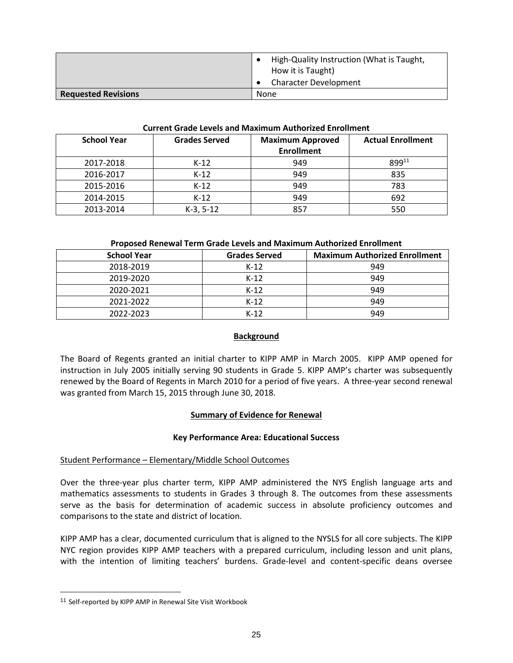|                            | High-Quality Instruction (What is Taught,<br>How it is Taught) |
|----------------------------|----------------------------------------------------------------|
|                            | <b>Character Development</b>                                   |
| <b>Requested Revisions</b> | None                                                           |

#### **Current Grade Levels and Maximum Authorized Enrollment**

| <b>School Year</b> | <b>Grades Served</b> | <b>Maximum Approved</b><br><b>Enrollment</b> | <b>Actual Enrollment</b> |
|--------------------|----------------------|----------------------------------------------|--------------------------|
|                    |                      |                                              |                          |
| 2017-2018          | $K-12$               | 949                                          | 89911                    |
| 2016-2017          | $K-12$               | 949                                          | 835                      |
|                    |                      |                                              |                          |
| 2015-2016          | $K-12$               | 949                                          | 783                      |
| 2014-2015          | $K-12$               | 949                                          | 692                      |
|                    |                      |                                              |                          |
| 2013-2014          | $K-3, 5-12$          | 857                                          | 550                      |

### **Proposed Renewal Term Grade Levels and Maximum Authorized Enrollment**

| <b>School Year</b> | <b>Grades Served</b> | <b>Maximum Authorized Enrollment</b> |
|--------------------|----------------------|--------------------------------------|
| 2018-2019          | $K-12$               | 949                                  |
| 2019-2020          | $K-12$               | 949                                  |
| 2020-2021          | $K-12$               | 949                                  |
| 2021-2022          | $K-12$               | 949                                  |
| 2022-2023          | $K-12$               | 949                                  |

# **Background**

The Board of Regents granted an initial charter to KIPP AMP in March 2005. KIPP AMP opened for instruction in July 2005 initially serving 90 students in Grade 5. KIPP AMP's charter was subsequently renewed by the Board of Regents in March 2010 for a period of five years. A three-year second renewal was granted from March 15, 2015 through June 30, 2018.

# **Summary of Evidence for Renewal**

# **Key Performance Area: Educational Success**

# Student Performance – Elementary/Middle School Outcomes

Over the three-year plus charter term, KIPP AMP administered the NYS English language arts and mathematics assessments to students in Grades 3 through 8. The outcomes from these assessments serve as the basis for determination of academic success in absolute proficiency outcomes and comparisons to the state and district of location.

KIPP AMP has a clear, documented curriculum that is aligned to the NYSLS for all core subjects. The KIPP NYC region provides KIPP AMP teachers with a prepared curriculum, including lesson and unit plans, with the intention of limiting teachers' burdens. Grade-level and content-specific deans oversee

 $\overline{a}$ 

<sup>11</sup> Self-reported by KIPP AMP in Renewal Site Visit Workbook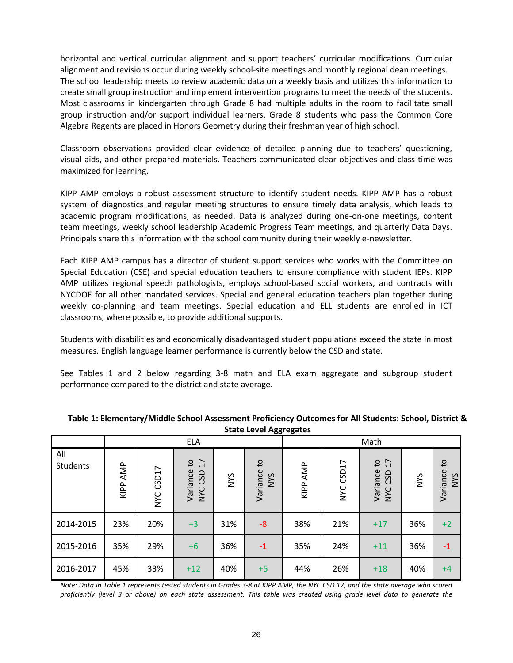horizontal and vertical curricular alignment and support teachers' curricular modifications. Curricular alignment and revisions occur during weekly school-site meetings and monthly regional dean meetings. The school leadership meets to review academic data on a weekly basis and utilizes this information to create small group instruction and implement intervention programs to meet the needs of the students. Most classrooms in kindergarten through Grade 8 had multiple adults in the room to facilitate small group instruction and/or support individual learners. Grade 8 students who pass the Common Core Algebra Regents are placed in Honors Geometry during their freshman year of high school.

Classroom observations provided clear evidence of detailed planning due to teachers' questioning, visual aids, and other prepared materials. Teachers communicated clear objectives and class time was maximized for learning.

KIPP AMP employs a robust assessment structure to identify student needs. KIPP AMP has a robust system of diagnostics and regular meeting structures to ensure timely data analysis, which leads to academic program modifications, as needed. Data is analyzed during one-on-one meetings, content team meetings, weekly school leadership Academic Progress Team meetings, and quarterly Data Days. Principals share this information with the school community during their weekly e-newsletter.

Each KIPP AMP campus has a director of student support services who works with the Committee on Special Education (CSE) and special education teachers to ensure compliance with student IEPs. KIPP AMP utilizes regional speech pathologists, employs school-based social workers, and contracts with NYCDOE for all other mandated services. Special and general education teachers plan together during weekly co-planning and team meetings. Special education and ELL students are enrolled in ICT classrooms, where possible, to provide additional supports.

Students with disabilities and economically disadvantaged student populations exceed the state in most measures. English language learner performance is currently below the CSD and state.

See Tables 1 and 2 below regarding 3-8 math and ELA exam aggregate and subgroup student performance compared to the district and state average.

|                 |             | <b>ELA</b>          |                                    |            |                                        |             |                     | Math                                                |     |                              |
|-----------------|-------------|---------------------|------------------------------------|------------|----------------------------------------|-------------|---------------------|-----------------------------------------------------|-----|------------------------------|
| All<br>Students | AMP<br>KIPP | CSD17<br><b>NAC</b> | 17<br>Ωţ<br>Variance<br>GSD<br>NYC | <b>SAN</b> | $\mathsf{S}$<br>Variance<br><b>SAN</b> | AMP<br>KIPP | CSD17<br><b>SAN</b> | 17<br>$\mathsf{S}$<br>Variance<br>GSD<br><b>NYC</b> | NYS | Οł<br>Variance<br><b>NYS</b> |
| 2014-2015       | 23%         | 20%                 | $+3$                               | 31%        | $-8$                                   | 38%         | 21%                 | $+17$                                               | 36% | $+2$                         |
| 2015-2016       | 35%         | 29%                 | $+6$                               | 36%        | $-1$                                   | 35%         | 24%                 | $+11$                                               | 36% | $-1$                         |
| 2016-2017       | 45%         | 33%                 | $+12$                              | 40%        | $+5$                                   | 44%         | 26%                 | $+18$                                               | 40% | $+4$                         |

#### **Table 1: Elementary/Middle School Assessment Proficiency Outcomes for All Students: School, District & State Level Aggregates**

*Note: Data in Table 1 represents tested students in Grades 3-8 at KIPP AMP, the NYC CSD 17, and the state average who scored proficiently (level 3 or above) on each state assessment. This table was created using grade level data to generate the*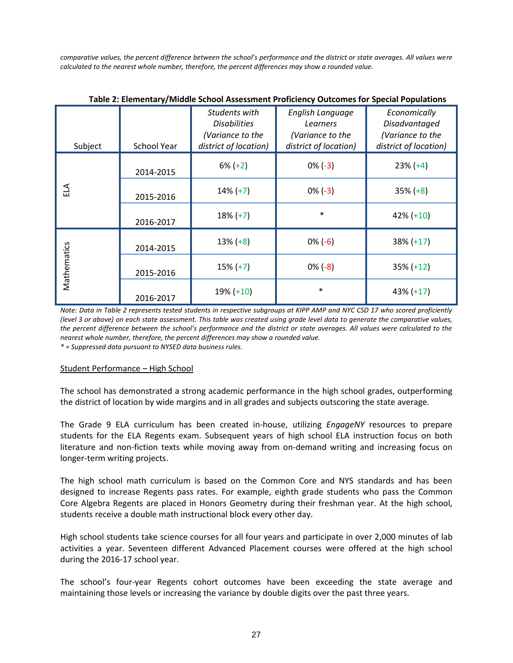*comparative values, the percent difference between the school's performance and the district or state averages. All values were calculated to the nearest whole number, therefore, the percent differences may show a rounded value.*

|             |                    |                                                                                   |                                                                           | ---- - - - - - - - - -                                                     |
|-------------|--------------------|-----------------------------------------------------------------------------------|---------------------------------------------------------------------------|----------------------------------------------------------------------------|
| Subject     | <b>School Year</b> | Students with<br><b>Disabilities</b><br>(Variance to the<br>district of location) | English Language<br>Learners<br>(Variance to the<br>district of location) | Economically<br>Disadvantaged<br>(Variance to the<br>district of location) |
|             | 2014-2015          | $6\% (+2)$                                                                        | $0\% (-3)$                                                                | $23\% (+4)$                                                                |
| ELA         | 2015-2016          | $14\% (+7)$                                                                       | $0\%(-3)$                                                                 | $35\% (+8)$                                                                |
|             | 2016-2017          | $18\% (+7)$                                                                       | $\ast$                                                                    | $42\% (+10)$                                                               |
|             | 2014-2015          | $13\% (+8)$                                                                       | $0\% (-6)$                                                                | $38\% (+17)$                                                               |
| Mathematics | 2015-2016          | $15\% (+7)$                                                                       | $0\%$ (-8)                                                                | $35\% (+12)$                                                               |
|             | 2016-2017          | $19\% (+10)$                                                                      | $\ast$                                                                    | $43\% (+17)$                                                               |

**Table 2: Elementary/Middle School Assessment Proficiency Outcomes for Special Populations**

*Note: Data in Table 2 represents tested students in respective subgroups at KIPP AMP and NYC CSD 17 who scored proficiently (level 3 or above) on each state assessment. This table was created using grade level data to generate the comparative values, the percent difference between the school's performance and the district or state averages. All values were calculated to the nearest whole number, therefore, the percent differences may show a rounded value.*

*\* = Suppressed data pursuant to NYSED data business rules.*

#### Student Performance – High School

The school has demonstrated a strong academic performance in the high school grades, outperforming the district of location by wide margins and in all grades and subjects outscoring the state average.

The Grade 9 ELA curriculum has been created in-house, utilizing *EngageNY* resources to prepare students for the ELA Regents exam. Subsequent years of high school ELA instruction focus on both literature and non-fiction texts while moving away from on-demand writing and increasing focus on longer-term writing projects.

The high school math curriculum is based on the Common Core and NYS standards and has been designed to increase Regents pass rates. For example, eighth grade students who pass the Common Core Algebra Regents are placed in Honors Geometry during their freshman year. At the high school, students receive a double math instructional block every other day.

High school students take science courses for all four years and participate in over 2,000 minutes of lab activities a year. Seventeen different Advanced Placement courses were offered at the high school during the 2016-17 school year.

The school's four-year Regents cohort outcomes have been exceeding the state average and maintaining those levels or increasing the variance by double digits over the past three years.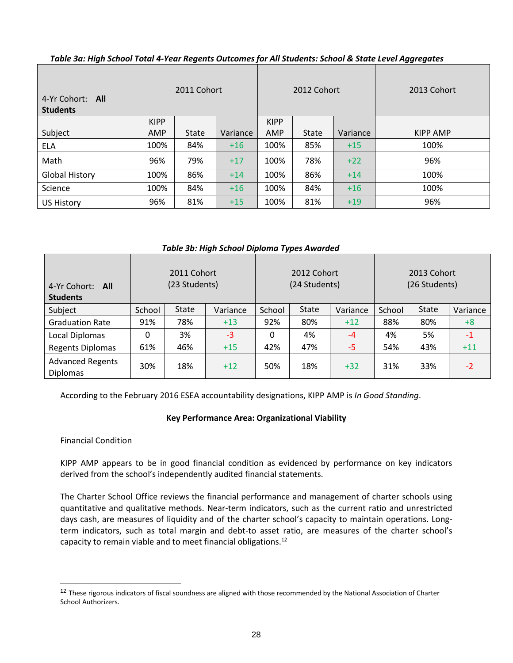| 4-Yr Cohort: All<br><b>Students</b> | 2011 Cohort |              |          | 2012 Cohort |              |          | 2013 Cohort |
|-------------------------------------|-------------|--------------|----------|-------------|--------------|----------|-------------|
|                                     | <b>KIPP</b> |              |          | <b>KIPP</b> |              |          |             |
| Subject                             | AMP         | <b>State</b> | Variance | <b>AMP</b>  | <b>State</b> | Variance | KIPP AMP    |
| <b>ELA</b>                          | 100%        | 84%          | $+16$    | 100%        | 85%          | $+15$    | 100%        |
| Math                                | 96%         | 79%          | $+17$    | 100%        | 78%          | $+22$    | 96%         |
| <b>Global History</b>               | 100%        | 86%          | $+14$    | 100%        | 86%          | $+14$    | 100%        |
| Science                             | 100%        | 84%          | $+16$    | 100%        | 84%          | $+16$    | 100%        |
| <b>US History</b>                   | 96%         | 81%          | $+15$    | 100%        | 81%          | $+19$    | 96%         |

*Table 3a: High School Total 4-Year Regents Outcomes for All Students: School & State Level Aggregates*

*Table 3b: High School Diploma Types Awarded*

| 4-Yr Cohort: All<br><b>Students</b>        | 2011 Cohort<br>(23 Students) |              |          | 2012 Cohort<br>(24 Students) |              |          | 2013 Cohort<br>(26 Students) |              |          |
|--------------------------------------------|------------------------------|--------------|----------|------------------------------|--------------|----------|------------------------------|--------------|----------|
| Subject                                    | School                       | <b>State</b> | Variance | School                       | <b>State</b> | Variance | School                       | <b>State</b> | Variance |
| <b>Graduation Rate</b>                     | 91%                          | 78%          | $+13$    | 92%                          | 80%          | $+12$    | 88%                          | 80%          | $+8$     |
| Local Diplomas                             | 0                            | 3%           | $-3$     | 0                            | 4%           | $-4$     | 4%                           | 5%           | $-1$     |
| <b>Regents Diplomas</b>                    | 61%                          | 46%          | $+15$    | 42%                          | 47%          | -5       | 54%                          | 43%          | $+11$    |
| <b>Advanced Regents</b><br><b>Diplomas</b> | 30%                          | 18%          | $+12$    | 50%                          | 18%          | $+32$    | 31%                          | 33%          | $-2$     |

According to the February 2016 ESEA accountability designations, KIPP AMP is *In Good Standing*.

# **Key Performance Area: Organizational Viability**

Financial Condition

 $\overline{a}$ 

KIPP AMP appears to be in good financial condition as evidenced by performance on key indicators derived from the school's independently audited financial statements.

The Charter School Office reviews the financial performance and management of charter schools using quantitative and qualitative methods. Near‐term indicators, such as the current ratio and unrestricted days cash, are measures of liquidity and of the charter school's capacity to maintain operations. Long‐ term indicators, such as total margin and debt-to asset ratio, are measures of the charter school's capacity to remain viable and to meet financial obligations.<sup>12</sup>

<sup>&</sup>lt;sup>12</sup> These rigorous indicators of fiscal soundness are aligned with those recommended by the National Association of Charter School Authorizers.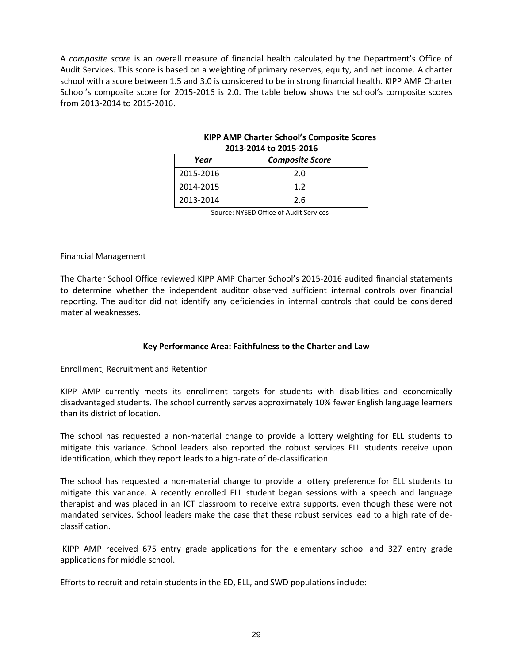A *composite score* is an overall measure of financial health calculated by the Department's Office of Audit Services. This score is based on a weighting of primary reserves, equity, and net income. A charter school with a score between 1.5 and 3.0 is considered to be in strong financial health. KIPP AMP Charter School's composite score for 2015-2016 is 2.0. The table below shows the school's composite scores from 2013-2014 to 2015-2016.

| Year      | <b>Composite Score</b> |  |  |  |
|-----------|------------------------|--|--|--|
| 2015-2016 | 2.0                    |  |  |  |
| 2014-2015 | 12                     |  |  |  |
| 2013-2014 | 2.6                    |  |  |  |

# **KIPP AMP Charter School's Composite Scores 2013-2014 to 2015-2016**

Source: NYSED Office of Audit Services

### Financial Management

The Charter School Office reviewed KIPP AMP Charter School's 2015-2016 audited financial statements to determine whether the independent auditor observed sufficient internal controls over financial reporting. The auditor did not identify any deficiencies in internal controls that could be considered material weaknesses.

# **Key Performance Area: Faithfulness to the Charter and Law**

# Enrollment, Recruitment and Retention

KIPP AMP currently meets its enrollment targets for students with disabilities and economically disadvantaged students. The school currently serves approximately 10% fewer English language learners than its district of location.

The school has requested a non-material change to provide a lottery weighting for ELL students to mitigate this variance. School leaders also reported the robust services ELL students receive upon identification, which they report leads to a high-rate of de-classification.

The school has requested a non-material change to provide a lottery preference for ELL students to mitigate this variance. A recently enrolled ELL student began sessions with a speech and language therapist and was placed in an ICT classroom to receive extra supports, even though these were not mandated services. School leaders make the case that these robust services lead to a high rate of declassification.

KIPP AMP received 675 entry grade applications for the elementary school and 327 entry grade applications for middle school.

Efforts to recruit and retain students in the ED, ELL, and SWD populations include: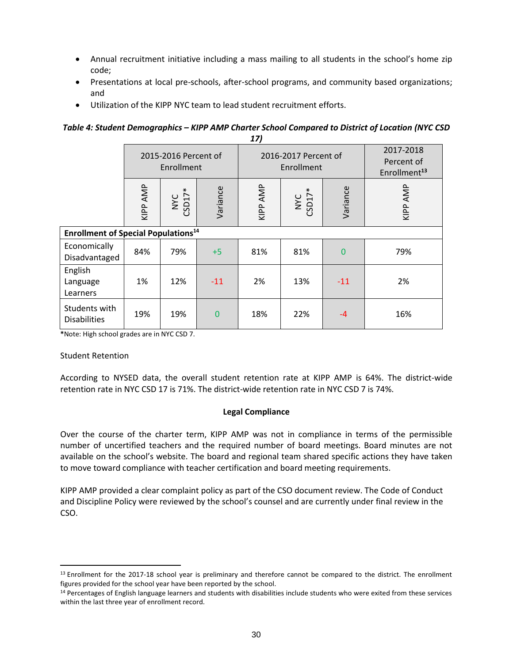- Annual recruitment initiative including a mass mailing to all students in the school's home zip code;
- Presentations at local pre-schools, after-school programs, and community based organizations; and
- Utilization of the KIPP NYC team to lead student recruitment efforts.

#### *Table 4: Student Demographics – KIPP AMP Charter School Compared to District of Location (NYC CSD 17)*

|                                                       | 2015-2016 Percent of<br>Enrollment |               |          |          | 2016-2017 Percent of<br>Enrollment | 2017-2018<br>Percent of<br>Enrollment <sup>13</sup> |          |
|-------------------------------------------------------|------------------------------------|---------------|----------|----------|------------------------------------|-----------------------------------------------------|----------|
|                                                       | KIPP AMP                           | NYC<br>CSD17* | Variance | KIPP AMP | NYC<br>CSD17*                      | Variance                                            | KIPP AMP |
| <b>Enrollment of Special Populations<sup>14</sup></b> |                                    |               |          |          |                                    |                                                     |          |
| Economically<br>Disadvantaged                         | 84%                                | 79%           | $+5$     | 81%      | 81%                                | $\overline{0}$                                      | 79%      |
| English<br>Language<br>Learners                       | 1%                                 | 12%           | $-11$    | 2%       | 13%                                | $-11$                                               | 2%       |
| Students with<br><b>Disabilities</b>                  | 19%                                | 19%           | 0        | 18%      | 22%                                | $-4$                                                | 16%      |

**\***Note: High school grades are in NYC CSD 7.

# Student Retention

 $\overline{a}$ 

According to NYSED data, the overall student retention rate at KIPP AMP is 64%. The district-wide retention rate in NYC CSD 17 is 71%. The district-wide retention rate in NYC CSD 7 is 74%.

# **Legal Compliance**

Over the course of the charter term, KIPP AMP was not in compliance in terms of the permissible number of uncertified teachers and the required number of board meetings. Board minutes are not available on the school's website. The board and regional team shared specific actions they have taken to move toward compliance with teacher certification and board meeting requirements.

KIPP AMP provided a clear complaint policy as part of the CSO document review. The Code of Conduct and Discipline Policy were reviewed by the school's counsel and are currently under final review in the CSO.

<sup>&</sup>lt;sup>13</sup> Enrollment for the 2017-18 school year is preliminary and therefore cannot be compared to the district. The enrollment figures provided for the school year have been reported by the school.

<sup>&</sup>lt;sup>14</sup> Percentages of English language learners and students with disabilities include students who were exited from these services within the last three year of enrollment record.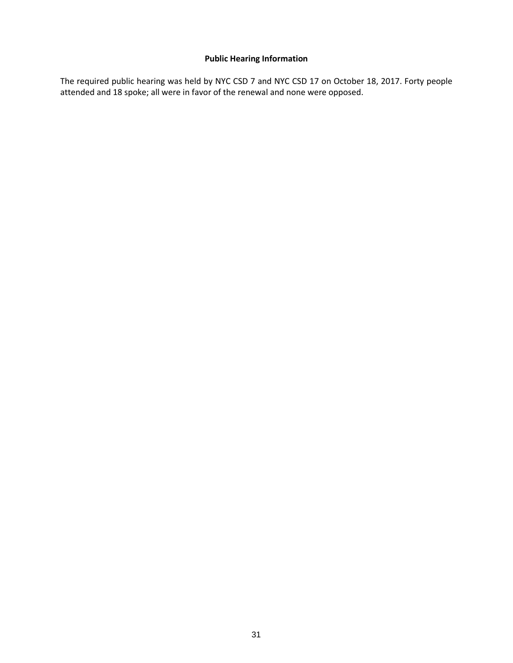# **Public Hearing Information**

The required public hearing was held by NYC CSD 7 and NYC CSD 17 on October 18, 2017. Forty people attended and 18 spoke; all were in favor of the renewal and none were opposed.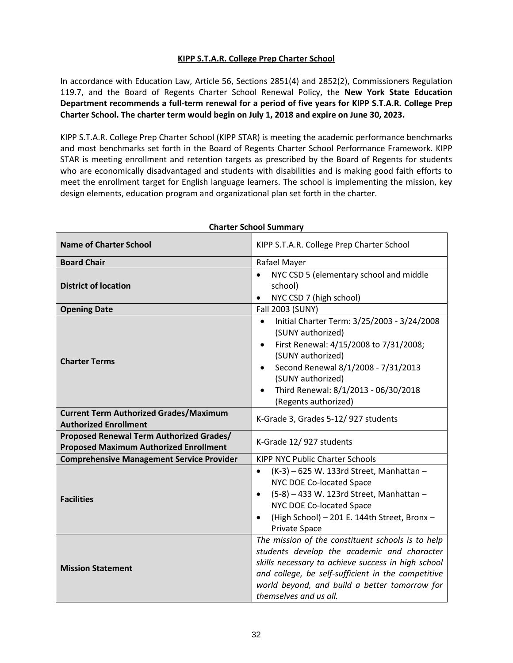# **KIPP S.T.A.R. College Prep Charter School**

In accordance with Education Law, Article 56, Sections 2851(4) and 2852(2), Commissioners Regulation 119.7, and the Board of Regents Charter School Renewal Policy, the **New York State Education Department recommends a full-term renewal for a period of five years for KIPP S.T.A.R. College Prep Charter School. The charter term would begin on July 1, 2018 and expire on June 30, 2023.**

KIPP S.T.A.R. College Prep Charter School (KIPP STAR) is meeting the academic performance benchmarks and most benchmarks set forth in the Board of Regents Charter School Performance Framework. KIPP STAR is meeting enrollment and retention targets as prescribed by the Board of Regents for students who are economically disadvantaged and students with disabilities and is making good faith efforts to meet the enrollment target for English language learners. The school is implementing the mission, key design elements, education program and organizational plan set forth in the charter.

| <b>Name of Charter School</b>                                                             | KIPP S.T.A.R. College Prep Charter School                                                                                                                                                                                                                                                          |  |  |
|-------------------------------------------------------------------------------------------|----------------------------------------------------------------------------------------------------------------------------------------------------------------------------------------------------------------------------------------------------------------------------------------------------|--|--|
| <b>Board Chair</b>                                                                        | Rafael Mayer                                                                                                                                                                                                                                                                                       |  |  |
| <b>District of location</b>                                                               | NYC CSD 5 (elementary school and middle<br>school)<br>NYC CSD 7 (high school)                                                                                                                                                                                                                      |  |  |
| <b>Opening Date</b>                                                                       | Fall 2003 (SUNY)                                                                                                                                                                                                                                                                                   |  |  |
| <b>Charter Terms</b>                                                                      | Initial Charter Term: 3/25/2003 - 3/24/2008<br>$\bullet$<br>(SUNY authorized)<br>First Renewal: 4/15/2008 to 7/31/2008;<br>$\bullet$<br>(SUNY authorized)<br>Second Renewal 8/1/2008 - 7/31/2013<br>$\bullet$<br>(SUNY authorized)<br>Third Renewal: 8/1/2013 - 06/30/2018<br>(Regents authorized) |  |  |
| <b>Current Term Authorized Grades/Maximum</b><br><b>Authorized Enrollment</b>             | K-Grade 3, Grades 5-12/927 students                                                                                                                                                                                                                                                                |  |  |
| Proposed Renewal Term Authorized Grades/<br><b>Proposed Maximum Authorized Enrollment</b> | K-Grade 12/927 students                                                                                                                                                                                                                                                                            |  |  |
| <b>Comprehensive Management Service Provider</b>                                          | <b>KIPP NYC Public Charter Schools</b>                                                                                                                                                                                                                                                             |  |  |
| <b>Facilities</b>                                                                         | (K-3) - 625 W. 133rd Street, Manhattan -<br>$\bullet$<br>NYC DOE Co-located Space<br>(5-8) - 433 W. 123rd Street, Manhattan -<br>NYC DOE Co-located Space<br>(High School) - 201 E. 144th Street, Bronx -<br><b>Private Space</b>                                                                  |  |  |
| <b>Mission Statement</b>                                                                  | The mission of the constituent schools is to help<br>students develop the academic and character<br>skills necessary to achieve success in high school<br>and college, be self-sufficient in the competitive<br>world beyond, and build a better tomorrow for<br>themselves and us all.            |  |  |

# **Charter School Summary**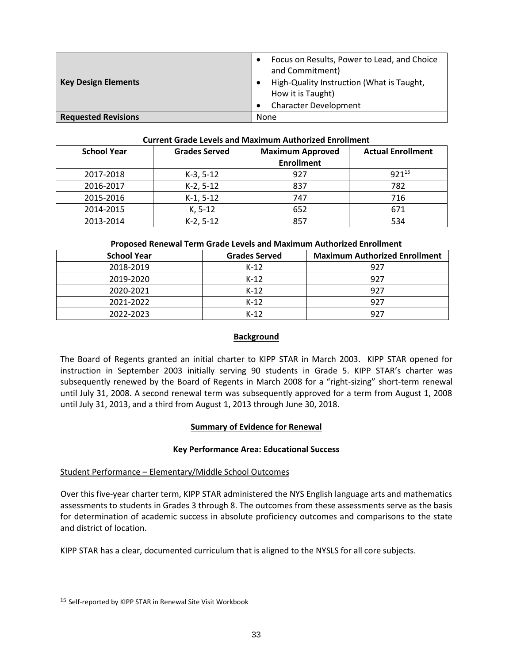| <b>Key Design Elements</b> | Focus on Results, Power to Lead, and Choice<br>and Commitment)<br>High-Quality Instruction (What is Taught,<br>How it is Taught)<br><b>Character Development</b> |
|----------------------------|------------------------------------------------------------------------------------------------------------------------------------------------------------------|
| <b>Requested Revisions</b> | None                                                                                                                                                             |

### **Current Grade Levels and Maximum Authorized Enrollment**

| <b>School Year</b> | <b>Grades Served</b> | <b>Maximum Approved</b> | <b>Actual Enrollment</b> |
|--------------------|----------------------|-------------------------|--------------------------|
|                    |                      | <b>Enrollment</b>       |                          |
| 2017-2018          | $K-3, 5-12$          | 927                     | $921^{15}$               |
| 2016-2017          | $K-2, 5-12$          | 837                     | 782                      |
| 2015-2016          | $K-1, 5-12$          | 747                     | 716                      |
| 2014-2015          | $K, 5-12$            | 652                     | 671                      |
| 2013-2014          | $K-2, 5-12$          | 857                     | 534                      |

### **Proposed Renewal Term Grade Levels and Maximum Authorized Enrollment**

| <b>School Year</b> | <b>Grades Served</b> | <b>Maximum Authorized Enrollment</b> |
|--------------------|----------------------|--------------------------------------|
| 2018-2019          | $K-12$               | 927                                  |
| 2019-2020          | $K-12$               | 927                                  |
| 2020-2021          | $K-12$               | 927                                  |
| 2021-2022          | $K-12$               | -927                                 |
| 2022-2023          | $K-12$               | 927                                  |

# **Background**

The Board of Regents granted an initial charter to KIPP STAR in March 2003. KIPP STAR opened for instruction in September 2003 initially serving 90 students in Grade 5. KIPP STAR's charter was subsequently renewed by the Board of Regents in March 2008 for a "right-sizing" short-term renewal until July 31, 2008. A second renewal term was subsequently approved for a term from August 1, 2008 until July 31, 2013, and a third from August 1, 2013 through June 30, 2018.

# **Summary of Evidence for Renewal**

# **Key Performance Area: Educational Success**

# Student Performance – Elementary/Middle School Outcomes

Over this five-year charter term, KIPP STAR administered the NYS English language arts and mathematics assessments to students in Grades 3 through 8. The outcomes from these assessments serve as the basis for determination of academic success in absolute proficiency outcomes and comparisons to the state and district of location.

KIPP STAR has a clear, documented curriculum that is aligned to the NYSLS for all core subjects.

 $\overline{a}$ 

<sup>15</sup> Self-reported by KIPP STAR in Renewal Site Visit Workbook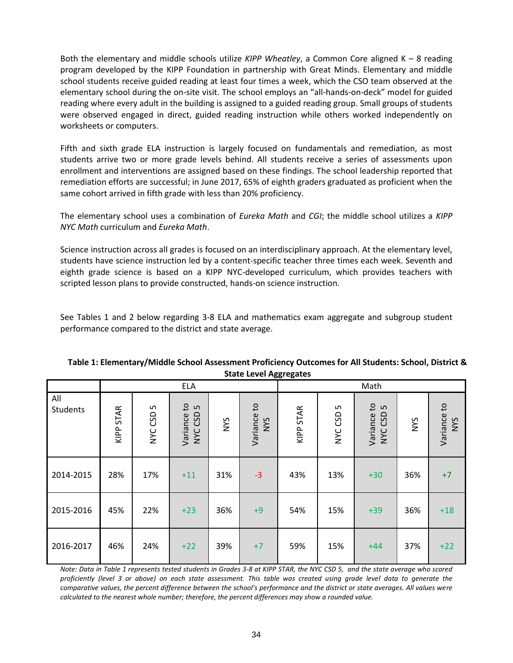Both the elementary and middle schools utilize *KIPP Wheatley*, a Common Core aligned K – 8 reading program developed by the KIPP Foundation in partnership with Great Minds. Elementary and middle school students receive guided reading at least four times a week, which the CSO team observed at the elementary school during the on-site visit. The school employs an "all-hands-on-deck" model for guided reading where every adult in the building is assigned to a guided reading group. Small groups of students were observed engaged in direct, guided reading instruction while others worked independently on worksheets or computers.

Fifth and sixth grade ELA instruction is largely focused on fundamentals and remediation, as most students arrive two or more grade levels behind. All students receive a series of assessments upon enrollment and interventions are assigned based on these findings. The school leadership reported that remediation efforts are successful; in June 2017, 65% of eighth graders graduated as proficient when the same cohort arrived in fifth grade with less than 20% proficiency.

The elementary school uses a combination of *Eureka Math* and *CGI*; the middle school utilizes a *KIPP NYC Math* curriculum and *Eureka Math*.

Science instruction across all grades is focused on an interdisciplinary approach. At the elementary level, students have science instruction led by a content-specific teacher three times each week. Seventh and eighth grade science is based on a KIPP NYC-developed curriculum, which provides teachers with scripted lesson plans to provide constructed, hands-on science instruction.

See Tables 1 and 2 below regarding 3-8 ELA and mathematics exam aggregate and subgroup student performance compared to the district and state average.

|                 | State Level Aggregates |                |                                                           |     |                                        |           | Math         |                                             |            |                           |
|-----------------|------------------------|----------------|-----------------------------------------------------------|-----|----------------------------------------|-----------|--------------|---------------------------------------------|------------|---------------------------|
| All<br>Students | KIPP STAR              | LN.<br>NYC CSD | <b>ELA</b><br>$\mathsf{c}$<br>S<br>CSD<br>Variance<br>NYC | NYS | $\mathsf{c}$<br>Variance<br><b>SAN</b> | KIPP STAR | S<br>NYC CSD | $\mathbf{c}$<br>S<br>CSD<br>Variance<br>NYC | <b>NYS</b> | Variance to<br><b>NYS</b> |
| 2014-2015       | 28%                    | 17%            | $+11$                                                     | 31% | $-3$                                   | 43%       | 13%          | $+30$                                       | 36%        | $+7$                      |
| 2015-2016       | 45%                    | 22%            | $+23$                                                     | 36% | $+9$                                   | 54%       | 15%          | $+39$                                       | 36%        | $+18$                     |
| 2016-2017       | 46%                    | 24%            | $+22$                                                     | 39% | $+7$                                   | 59%       | 15%          | $+44$                                       | 37%        | $+22$                     |

### **Table 1: Elementary/Middle School Assessment Proficiency Outcomes for All Students: School, District & State Level Aggregates**

*Note: Data in Table 1 represents tested students in Grades 3-8 at KIPP STAR, the NYC CSD 5, and the state average who scored proficiently (level 3 or above) on each state assessment. This table was created using grade level data to generate the comparative values, the percent difference between the school's performance and the district or state averages. All values were calculated to the nearest whole number; therefore, the percent differences may show a rounded value.*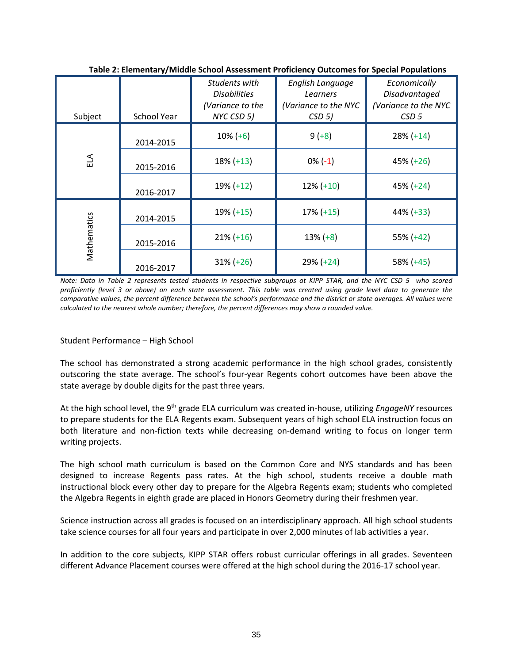| Subject     | School Year | Students with<br><b>Disabilities</b><br>(Variance to the<br>NYC CSD 5) | English Language<br>Learners<br>(Variance to the NYC<br>CSD 5 | Economically<br>Disadvantaged<br>(Variance to the NYC<br>CSD <sub>5</sub> |
|-------------|-------------|------------------------------------------------------------------------|---------------------------------------------------------------|---------------------------------------------------------------------------|
|             | 2014-2015   | $10\% (+6)$                                                            | $9 (+8)$                                                      | $28\% (+14)$                                                              |
| ELA         | 2015-2016   | $18\% (+13)$                                                           | $0\%(-1)$                                                     | $45\% (+26)$                                                              |
|             | 2016-2017   | $19% (+12)$                                                            | $12\% (+10)$                                                  | $45\% (+24)$                                                              |
|             | 2014-2015   | $19% (+15)$                                                            | $17\% (+15)$                                                  | 44% (+33)                                                                 |
| Mathematics | 2015-2016   | $21\% (+16)$                                                           | $13\% (+8)$                                                   | 55% (+42)                                                                 |
|             | 2016-2017   | $31\% (+26)$                                                           | 29% (+24)                                                     | 58% (+45)                                                                 |

**Table 2: Elementary/Middle School Assessment Proficiency Outcomes for Special Populations**

*Note: Data in Table 2 represents tested students in respective subgroups at KIPP STAR, and the NYC CSD 5 who scored proficiently (level 3 or above) on each state assessment. This table was created using grade level data to generate the comparative values, the percent difference between the school's performance and the district or state averages. All values were calculated to the nearest whole number; therefore, the percent differences may show a rounded value.*

# Student Performance – High School

The school has demonstrated a strong academic performance in the high school grades, consistently outscoring the state average. The school's four-year Regents cohort outcomes have been above the state average by double digits for the past three years.

At the high school level, the 9th grade ELA curriculum was created in-house, utilizing *EngageNY* resources to prepare students for the ELA Regents exam. Subsequent years of high school ELA instruction focus on both literature and non-fiction texts while decreasing on-demand writing to focus on longer term writing projects.

The high school math curriculum is based on the Common Core and NYS standards and has been designed to increase Regents pass rates. At the high school, students receive a double math instructional block every other day to prepare for the Algebra Regents exam; students who completed the Algebra Regents in eighth grade are placed in Honors Geometry during their freshmen year.

Science instruction across all grades is focused on an interdisciplinary approach. All high school students take science courses for all four years and participate in over 2,000 minutes of lab activities a year.

In addition to the core subjects, KIPP STAR offers robust curricular offerings in all grades. Seventeen different Advance Placement courses were offered at the high school during the 2016-17 school year.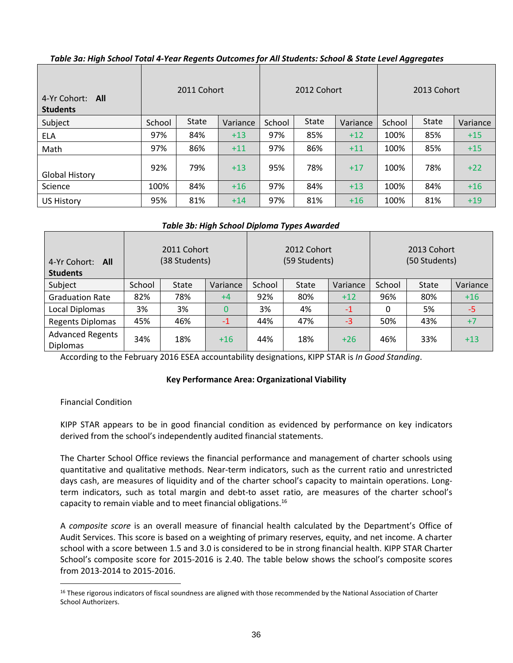| 4-Yr Cohort:<br>All<br><b>Students</b> | 2011 Cohort |              |          | 2012 Cohort |              |          | 2013 Cohort |              |          |
|----------------------------------------|-------------|--------------|----------|-------------|--------------|----------|-------------|--------------|----------|
| Subject                                | School      | <b>State</b> | Variance | School      | <b>State</b> | Variance | School      | <b>State</b> | Variance |
| ELA                                    | 97%         | 84%          | $+13$    | 97%         | 85%          | $+12$    | 100%        | 85%          | $+15$    |
| Math                                   | 97%         | 86%          | $+11$    | 97%         | 86%          | $+11$    | 100%        | 85%          | $+15$    |
| <b>Global History</b>                  | 92%         | 79%          | $+13$    | 95%         | 78%          | $+17$    | 100%        | 78%          | $+22$    |
| Science                                | 100%        | 84%          | $+16$    | 97%         | 84%          | $+13$    | 100%        | 84%          | $+16$    |
| <b>US History</b>                      | 95%         | 81%          | $+14$    | 97%         | 81%          | $+16$    | 100%        | 81%          | $+19$    |

# *Table 3a: High School Total 4-Year Regents Outcomes for All Students: School & State Level Aggregates*

# *Table 3b: High School Diploma Types Awarded*

| 4-Yr Cohort:<br>All<br><b>Students</b>     | 2011 Cohort<br>(38 Students) |              |          | 2012 Cohort<br>(59 Students) |              |          | 2013 Cohort<br>(50 Students) |              |          |
|--------------------------------------------|------------------------------|--------------|----------|------------------------------|--------------|----------|------------------------------|--------------|----------|
| Subject                                    | School                       | <b>State</b> | Variance | School                       | <b>State</b> | Variance | School                       | <b>State</b> | Variance |
| <b>Graduation Rate</b>                     | 82%                          | 78%          | $+4$     | 92%                          | 80%          | $+12$    | 96%                          | 80%          | $+16$    |
| Local Diplomas                             | 3%                           | 3%           | 0        | 3%                           | 4%           | $-1$     | 0                            | 5%           | -5       |
| <b>Regents Diplomas</b>                    | 45%                          | 46%          | $-1$     | 44%                          | 47%          | $-3$     | 50%                          | 43%          | $+7$     |
| <b>Advanced Regents</b><br><b>Diplomas</b> | 34%                          | 18%          | $+16$    | 44%                          | 18%          | $+26$    | 46%                          | 33%          | $+13$    |

According to the February 2016 ESEA accountability designations, KIPP STAR is *In Good Standing*.

# **Key Performance Area: Organizational Viability**

# Financial Condition

KIPP STAR appears to be in good financial condition as evidenced by performance on key indicators derived from the school's independently audited financial statements.

The Charter School Office reviews the financial performance and management of charter schools using quantitative and qualitative methods. Near‐term indicators, such as the current ratio and unrestricted days cash, are measures of liquidity and of the charter school's capacity to maintain operations. Long‐ term indicators, such as total margin and debt-to asset ratio, are measures of the charter school's capacity to remain viable and to meet financial obligations.<sup>16</sup>

A *composite score* is an overall measure of financial health calculated by the Department's Office of Audit Services. This score is based on a weighting of primary reserves, equity, and net income. A charter school with a score between 1.5 and 3.0 is considered to be in strong financial health. KIPP STAR Charter School's composite score for 2015-2016 is 2.40. The table below shows the school's composite scores from 2013-2014 to 2015-2016.

 $\overline{a}$ <sup>16</sup> These rigorous indicators of fiscal soundness are aligned with those recommended by the National Association of Charter School Authorizers.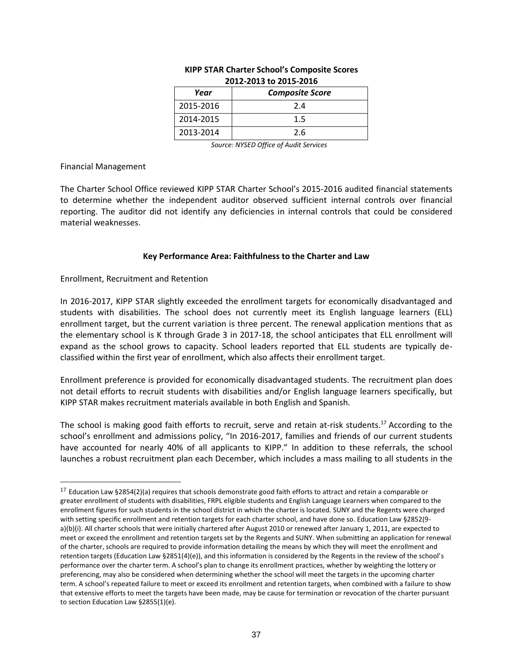| LUIL LUIJ LU LUIJ LUIU |                        |  |  |  |  |  |
|------------------------|------------------------|--|--|--|--|--|
| Year                   | <b>Composite Score</b> |  |  |  |  |  |
| 2015-2016              | 2.4                    |  |  |  |  |  |
| 2014-2015              | 1.5                    |  |  |  |  |  |
| 2013-2014              | 2.6                    |  |  |  |  |  |

# **KIPP STAR Charter School's Composite Scores 2012-2013 to 2015-2016**

*Source: NYSED Office of Audit Services*

#### Financial Management

 $\overline{a}$ 

The Charter School Office reviewed KIPP STAR Charter School's 2015-2016 audited financial statements to determine whether the independent auditor observed sufficient internal controls over financial reporting. The auditor did not identify any deficiencies in internal controls that could be considered material weaknesses.

# **Key Performance Area: Faithfulness to the Charter and Law**

# Enrollment, Recruitment and Retention

In 2016-2017, KIPP STAR slightly exceeded the enrollment targets for economically disadvantaged and students with disabilities. The school does not currently meet its English language learners (ELL) enrollment target, but the current variation is three percent. The renewal application mentions that as the elementary school is K through Grade 3 in 2017-18, the school anticipates that ELL enrollment will expand as the school grows to capacity. School leaders reported that ELL students are typically declassified within the first year of enrollment, which also affects their enrollment target.

Enrollment preference is provided for economically disadvantaged students. The recruitment plan does not detail efforts to recruit students with disabilities and/or English language learners specifically, but KIPP STAR makes recruitment materials available in both English and Spanish.

The school is making good faith efforts to recruit, serve and retain at-risk students.<sup>17</sup> According to the school's enrollment and admissions policy, "In 2016-2017, families and friends of our current students have accounted for nearly 40% of all applicants to KIPP." In addition to these referrals, the school launches a robust recruitment plan each December, which includes a mass mailing to all students in the

 $17$  Education Law §2854(2)(a) requires that schools demonstrate good faith efforts to attract and retain a comparable or greater enrollment of students with disabilities, FRPL eligible students and English Language Learners when compared to the enrollment figures for such students in the school district in which the charter is located. SUNY and the Regents were charged with setting specific enrollment and retention targets for each charter school, and have done so. Education Law §2852(9 a)(b)(i). All charter schools that were initially chartered after August 2010 or renewed after January 1, 2011, are expected to meet or exceed the enrollment and retention targets set by the Regents and SUNY. When submitting an application for renewal of the charter, schools are required to provide information detailing the means by which they will meet the enrollment and retention targets (Education Law §2851(4)(e)), and this information is considered by the Regents in the review of the school's performance over the charter term. A school's plan to change its enrollment practices, whether by weighting the lottery or preferencing, may also be considered when determining whether the school will meet the targets in the upcoming charter term. A school's repeated failure to meet or exceed its enrollment and retention targets, when combined with a failure to show that extensive efforts to meet the targets have been made, may be cause for termination or revocation of the charter pursuant to section Education Law §2855(1)(e).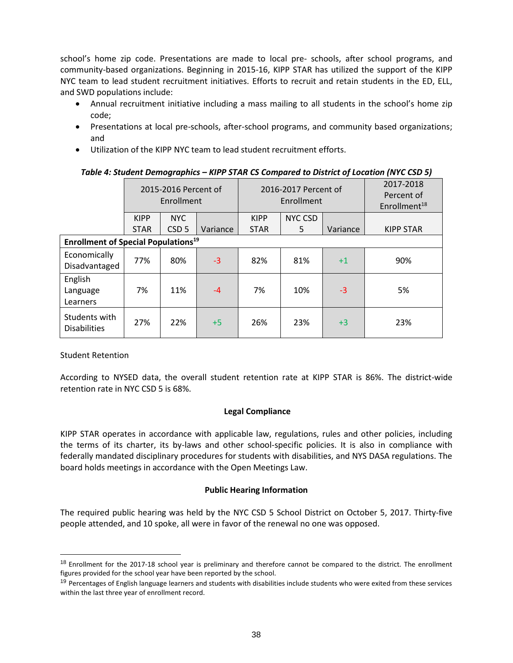school's home zip code. Presentations are made to local pre- schools, after school programs, and community-based organizations. Beginning in 2015-16, KIPP STAR has utilized the support of the KIPP NYC team to lead student recruitment initiatives. Efforts to recruit and retain students in the ED, ELL, and SWD populations include:

- Annual recruitment initiative including a mass mailing to all students in the school's home zip code;
- Presentations at local pre-schools, after-school programs, and community based organizations; and
- Utilization of the KIPP NYC team to lead student recruitment efforts.

# *Table 4: Student Demographics – KIPP STAR CS Compared to District of Location (NYC CSD 5)*

|                                                       | 2015-2016 Percent of<br>Enrollment |                  |          | 2016-2017 Percent of<br>Enrollment |                |          | 2017-2018<br>Percent of<br>Enrollment $18$ |
|-------------------------------------------------------|------------------------------------|------------------|----------|------------------------------------|----------------|----------|--------------------------------------------|
|                                                       | <b>KIPP</b>                        | <b>NYC</b>       |          | <b>KIPP</b>                        | <b>NYC CSD</b> |          |                                            |
|                                                       | <b>STAR</b>                        | CSD <sub>5</sub> | Variance | <b>STAR</b>                        | 5              | Variance | <b>KIPP STAR</b>                           |
| <b>Enrollment of Special Populations<sup>19</sup></b> |                                    |                  |          |                                    |                |          |                                            |
| Economically<br>Disadvantaged                         | 77%                                | 80%              | $-3$     | 82%                                | 81%            | $+1$     | 90%                                        |
| English<br>Language<br>Learners                       | 7%                                 | 11%              | $-4$     | 7%                                 | 10%            | $-3$     | 5%                                         |
| Students with<br><b>Disabilities</b>                  | 27%                                | 22%              | $+5$     | 26%                                | 23%            | $+3$     | 23%                                        |

Student Retention

 $\overline{a}$ 

According to NYSED data, the overall student retention rate at KIPP STAR is 86%. The district-wide retention rate in NYC CSD 5 is 68%.

# **Legal Compliance**

KIPP STAR operates in accordance with applicable law, regulations, rules and other policies, including the terms of its charter, its by-laws and other school-specific policies. It is also in compliance with federally mandated disciplinary procedures for students with disabilities, and NYS DASA regulations. The board holds meetings in accordance with the Open Meetings Law.

# **Public Hearing Information**

The required public hearing was held by the NYC CSD 5 School District on October 5, 2017. Thirty-five people attended, and 10 spoke, all were in favor of the renewal no one was opposed.

<sup>&</sup>lt;sup>18</sup> Enrollment for the 2017-18 school year is preliminary and therefore cannot be compared to the district. The enrollment figures provided for the school year have been reported by the school.

<sup>&</sup>lt;sup>19</sup> Percentages of English language learners and students with disabilities include students who were exited from these services within the last three year of enrollment record.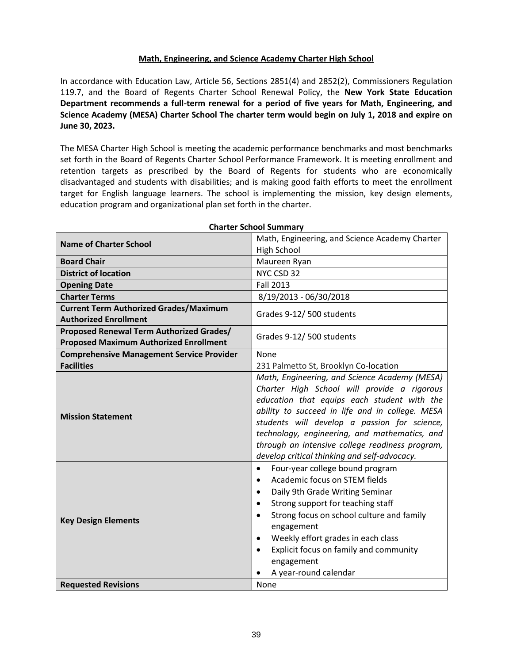# **Math, Engineering, and Science Academy Charter High School**

In accordance with Education Law, Article 56, Sections 2851(4) and 2852(2), Commissioners Regulation 119.7, and the Board of Regents Charter School Renewal Policy, the **New York State Education Department recommends a full-term renewal for a period of five years for Math, Engineering, and Science Academy (MESA) Charter School The charter term would begin on July 1, 2018 and expire on June 30, 2023.** 

The MESA Charter High School is meeting the academic performance benchmarks and most benchmarks set forth in the Board of Regents Charter School Performance Framework. It is meeting enrollment and retention targets as prescribed by the Board of Regents for students who are economically disadvantaged and students with disabilities; and is making good faith efforts to meet the enrollment target for English language learners. The school is implementing the mission, key design elements, education program and organizational plan set forth in the charter.

|                                                  | idi ter bendur bannman                                                                       |  |  |
|--------------------------------------------------|----------------------------------------------------------------------------------------------|--|--|
| <b>Name of Charter School</b>                    | Math, Engineering, and Science Academy Charter                                               |  |  |
|                                                  | <b>High School</b>                                                                           |  |  |
| <b>Board Chair</b>                               | Maureen Ryan                                                                                 |  |  |
| <b>District of location</b>                      | NYC CSD 32                                                                                   |  |  |
| <b>Opening Date</b>                              | <b>Fall 2013</b>                                                                             |  |  |
| <b>Charter Terms</b>                             | 8/19/2013 - 06/30/2018                                                                       |  |  |
| <b>Current Term Authorized Grades/Maximum</b>    | Grades 9-12/500 students                                                                     |  |  |
| <b>Authorized Enrollment</b>                     |                                                                                              |  |  |
| Proposed Renewal Term Authorized Grades/         | Grades 9-12/500 students                                                                     |  |  |
| <b>Proposed Maximum Authorized Enrollment</b>    |                                                                                              |  |  |
| <b>Comprehensive Management Service Provider</b> | None                                                                                         |  |  |
| <b>Facilities</b>                                | 231 Palmetto St, Brooklyn Co-location                                                        |  |  |
|                                                  | Math, Engineering, and Science Academy (MESA)<br>Charter High School will provide a rigorous |  |  |
|                                                  | education that equips each student with the                                                  |  |  |
| <b>Mission Statement</b>                         | ability to succeed in life and in college. MESA                                              |  |  |
|                                                  | students will develop a passion for science,                                                 |  |  |
|                                                  | technology, engineering, and mathematics, and                                                |  |  |
|                                                  | through an intensive college readiness program,                                              |  |  |
|                                                  | develop critical thinking and self-advocacy.                                                 |  |  |
|                                                  | Four-year college bound program<br>$\bullet$                                                 |  |  |
|                                                  | Academic focus on STEM fields<br>$\bullet$                                                   |  |  |
|                                                  | Daily 9th Grade Writing Seminar<br>$\bullet$                                                 |  |  |
|                                                  | Strong support for teaching staff<br>$\bullet$                                               |  |  |
| <b>Key Design Elements</b>                       | Strong focus on school culture and family<br>$\bullet$                                       |  |  |
|                                                  | engagement                                                                                   |  |  |
|                                                  | Weekly effort grades in each class<br>$\bullet$                                              |  |  |
|                                                  | Explicit focus on family and community<br>$\bullet$                                          |  |  |
|                                                  | engagement                                                                                   |  |  |
|                                                  | A year-round calendar                                                                        |  |  |
| <b>Requested Revisions</b>                       | None                                                                                         |  |  |

### **Charter School Summary**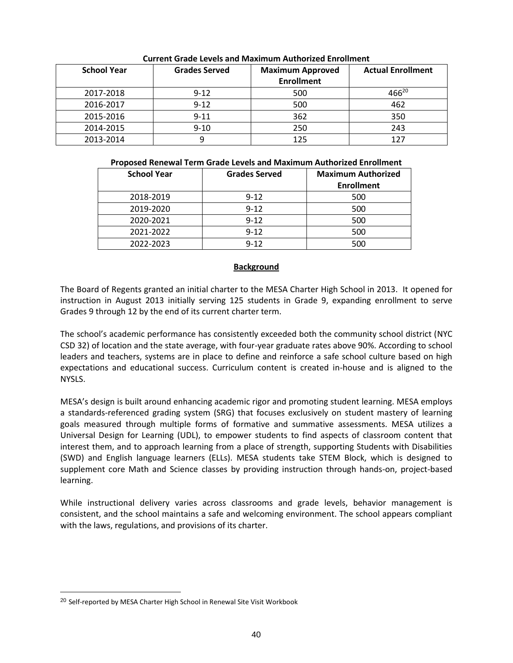| <b>School Year</b> | <b>Grades Served</b> | <b>Maximum Approved</b><br><b>Enrollment</b> | <b>Actual Enrollment</b> |
|--------------------|----------------------|----------------------------------------------|--------------------------|
| 2017-2018          | $9 - 12$             | 500                                          | $466^{20}$               |
| 2016-2017          | $9 - 12$             | 500                                          | 462                      |
| 2015-2016          | $9 - 11$             | 362                                          | 350                      |
| 2014-2015          | $9 - 10$             | 250                                          | 243                      |
| 2013-2014          |                      | 125                                          |                          |

# **Current Grade Levels and Maximum Authorized Enrollment**

| Proposed Renewal Term Grade Levels and Maximum Authorized Enrollment |
|----------------------------------------------------------------------|
|----------------------------------------------------------------------|

| <b>School Year</b> | <b>Grades Served</b> | <b>Maximum Authorized</b><br><b>Enrollment</b> |
|--------------------|----------------------|------------------------------------------------|
| 2018-2019          | $9 - 12$             | 500                                            |
| 2019-2020          | $9 - 12$             | 500                                            |
| 2020-2021          | $9 - 12$             | 500                                            |
| 2021-2022          | $9 - 12$             | 500                                            |
| 2022-2023          | $9 - 12$             | 500                                            |

# **Background**

The Board of Regents granted an initial charter to the MESA Charter High School in 2013. It opened for instruction in August 2013 initially serving 125 students in Grade 9, expanding enrollment to serve Grades 9 through 12 by the end of its current charter term.

The school's academic performance has consistently exceeded both the community school district (NYC CSD 32) of location and the state average, with four-year graduate rates above 90%. According to school leaders and teachers, systems are in place to define and reinforce a safe school culture based on high expectations and educational success. Curriculum content is created in-house and is aligned to the NYSLS.

MESA's design is built around enhancing academic rigor and promoting student learning. MESA employs a standards-referenced grading system (SRG) that focuses exclusively on student mastery of learning goals measured through multiple forms of formative and summative assessments. MESA utilizes a Universal Design for Learning (UDL), to empower students to find aspects of classroom content that interest them, and to approach learning from a place of strength, supporting Students with Disabilities (SWD) and English language learners (ELLs). MESA students take STEM Block, which is designed to supplement core Math and Science classes by providing instruction through hands-on, project-based learning.

While instructional delivery varies across classrooms and grade levels, behavior management is consistent, and the school maintains a safe and welcoming environment. The school appears compliant with the laws, regulations, and provisions of its charter.

 $\overline{a}$ 

<sup>&</sup>lt;sup>20</sup> Self-reported by MESA Charter High School in Renewal Site Visit Workbook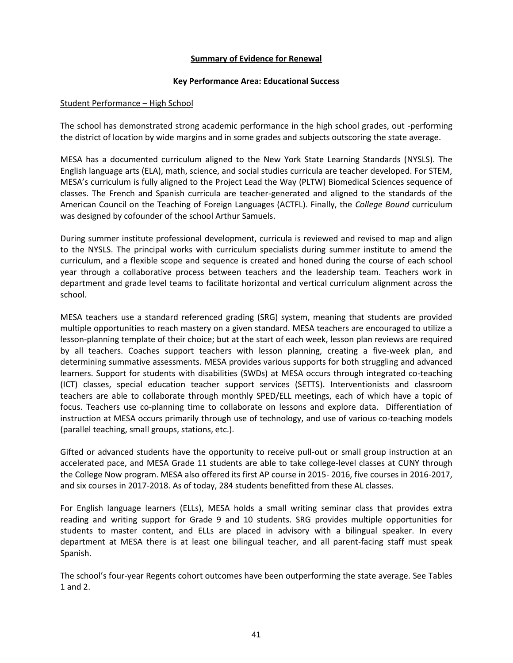### **Summary of Evidence for Renewal**

#### **Key Performance Area: Educational Success**

### Student Performance – High School

The school has demonstrated strong academic performance in the high school grades, out -performing the district of location by wide margins and in some grades and subjects outscoring the state average.

MESA has a documented curriculum aligned to the New York State Learning Standards (NYSLS). The English language arts (ELA), math, science, and social studies curricula are teacher developed. For STEM, MESA's curriculum is fully aligned to the Project Lead the Way (PLTW) Biomedical Sciences sequence of classes. The French and Spanish curricula are teacher-generated and aligned to the standards of the American Council on the Teaching of Foreign Languages (ACTFL). Finally, the *College Bound* curriculum was designed by cofounder of the school Arthur Samuels.

During summer institute professional development, curricula is reviewed and revised to map and align to the NYSLS. The principal works with curriculum specialists during summer institute to amend the curriculum, and a flexible scope and sequence is created and honed during the course of each school year through a collaborative process between teachers and the leadership team. Teachers work in department and grade level teams to facilitate horizontal and vertical curriculum alignment across the school.

MESA teachers use a standard referenced grading (SRG) system, meaning that students are provided multiple opportunities to reach mastery on a given standard. MESA teachers are encouraged to utilize a lesson-planning template of their choice; but at the start of each week, lesson plan reviews are required by all teachers. Coaches support teachers with lesson planning, creating a five-week plan, and determining summative assessments. MESA provides various supports for both struggling and advanced learners. Support for students with disabilities (SWDs) at MESA occurs through integrated co-teaching (ICT) classes, special education teacher support services (SETTS). Interventionists and classroom teachers are able to collaborate through monthly SPED/ELL meetings, each of which have a topic of focus. Teachers use co-planning time to collaborate on lessons and explore data. Differentiation of instruction at MESA occurs primarily through use of technology, and use of various co-teaching models (parallel teaching, small groups, stations, etc.).

Gifted or advanced students have the opportunity to receive pull-out or small group instruction at an accelerated pace, and MESA Grade 11 students are able to take college-level classes at CUNY through the College Now program. MESA also offered its first AP course in 2015- 2016, five courses in 2016-2017, and six courses in 2017-2018. As of today, 284 students benefitted from these AL classes.

For English language learners (ELLs), MESA holds a small writing seminar class that provides extra reading and writing support for Grade 9 and 10 students. SRG provides multiple opportunities for students to master content, and ELLs are placed in advisory with a bilingual speaker. In every department at MESA there is at least one bilingual teacher, and all parent-facing staff must speak Spanish.

The school's four-year Regents cohort outcomes have been outperforming the state average. See Tables 1 and 2.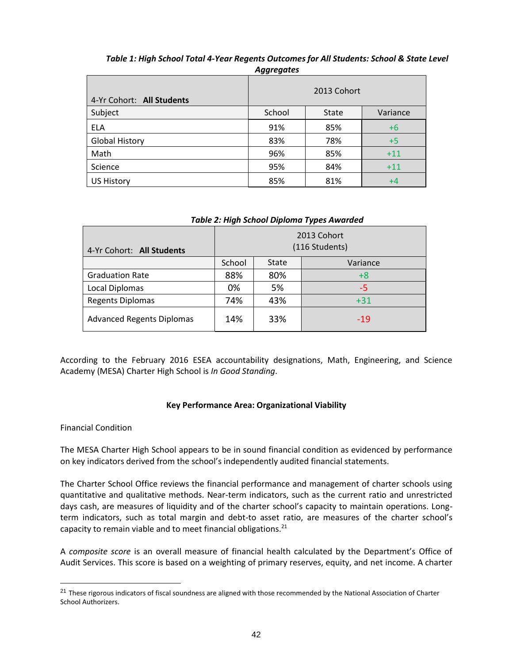|                           | Ayyı cyulcs |              |          |
|---------------------------|-------------|--------------|----------|
| 4-Yr Cohort: All Students |             | 2013 Cohort  |          |
| Subject                   | School      | <b>State</b> | Variance |
| <b>ELA</b>                | 91%         | 85%          | $+6$     |
| <b>Global History</b>     | 83%         | 78%          | $+5$     |
| Math                      | 96%         | 85%          | $+11$    |
| Science                   | 95%         | 84%          | $+11$    |
| <b>US History</b>         | 85%         | 81%          | +4       |

# *Table 1: High School Total 4-Year Regents Outcomes for All Students: School & State Level Aggregates*

| Table 2: High School Diploma Types Awarded |        |              |                               |  |  |  |  |
|--------------------------------------------|--------|--------------|-------------------------------|--|--|--|--|
| 4-Yr Cohort: All Students                  |        |              | 2013 Cohort<br>(116 Students) |  |  |  |  |
|                                            | School | <b>State</b> | Variance                      |  |  |  |  |
| <b>Graduation Rate</b>                     | 88%    | 80%          | $+8$                          |  |  |  |  |
| Local Diplomas                             | 0%     | 5%           | -5                            |  |  |  |  |
| <b>Regents Diplomas</b>                    | 74%    | 43%          | $+31$                         |  |  |  |  |
| <b>Advanced Regents Diplomas</b>           | 14%    | 33%          | $-19$                         |  |  |  |  |

### *Table 2: High School Diploma Types Awarded*

According to the February 2016 ESEA accountability designations, Math, Engineering, and Science Academy (MESA) Charter High School is *In Good Standing*.

# **Key Performance Area: Organizational Viability**

# Financial Condition

 $\overline{a}$ 

The MESA Charter High School appears to be in sound financial condition as evidenced by performance on key indicators derived from the school's independently audited financial statements.

The Charter School Office reviews the financial performance and management of charter schools using quantitative and qualitative methods. Near‐term indicators, such as the current ratio and unrestricted days cash, are measures of liquidity and of the charter school's capacity to maintain operations. Long‐ term indicators, such as total margin and debt-to asset ratio, are measures of the charter school's capacity to remain viable and to meet financial obligations. $21$ 

A *composite score* is an overall measure of financial health calculated by the Department's Office of Audit Services. This score is based on a weighting of primary reserves, equity, and net income. A charter

<sup>&</sup>lt;sup>21</sup> These rigorous indicators of fiscal soundness are aligned with those recommended by the National Association of Charter School Authorizers.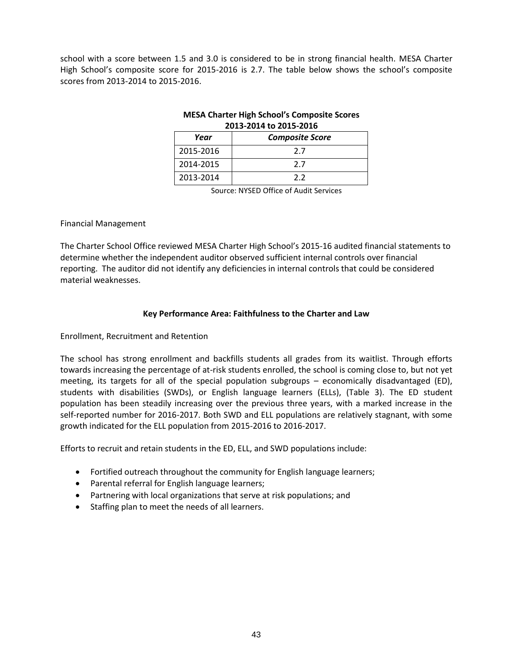school with a score between 1.5 and 3.0 is considered to be in strong financial health. MESA Charter High School's composite score for 2015-2016 is 2.7. The table below shows the school's composite scores from 2013-2014 to 2015-2016.

# **MESA Charter High School's Composite Scores 2013-2014 to 2015-2016**

| Year      | <b>Composite Score</b> |
|-----------|------------------------|
| 2015-2016 | 77                     |
| 2014-2015 | 77                     |
| 2013-2014 | つつ                     |

Source: NYSED Office of Audit Services

### Financial Management

The Charter School Office reviewed MESA Charter High School's 2015-16 audited financial statements to determine whether the independent auditor observed sufficient internal controls over financial reporting. The auditor did not identify any deficiencies in internal controls that could be considered material weaknesses.

# **Key Performance Area: Faithfulness to the Charter and Law**

### Enrollment, Recruitment and Retention

The school has strong enrollment and backfills students all grades from its waitlist. Through efforts towards increasing the percentage of at-risk students enrolled, the school is coming close to, but not yet meeting, its targets for all of the special population subgroups – economically disadvantaged (ED), students with disabilities (SWDs), or English language learners (ELLs), (Table 3). The ED student population has been steadily increasing over the previous three years, with a marked increase in the self-reported number for 2016-2017. Both SWD and ELL populations are relatively stagnant, with some growth indicated for the ELL population from 2015-2016 to 2016-2017.

Efforts to recruit and retain students in the ED, ELL, and SWD populations include:

- Fortified outreach throughout the community for English language learners;
- Parental referral for English language learners;
- Partnering with local organizations that serve at risk populations; and
- Staffing plan to meet the needs of all learners.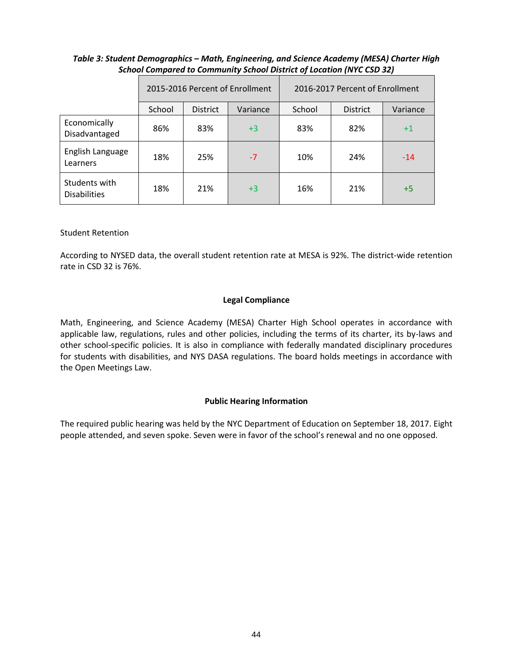# *Table 3: Student Demographics – Math, Engineering, and Science Academy (MESA) Charter High School Compared to Community School District of Location (NYC CSD 32)*

|                                      | 2015-2016 Percent of Enrollment |                             |      | 2016-2017 Percent of Enrollment |                 |          |
|--------------------------------------|---------------------------------|-----------------------------|------|---------------------------------|-----------------|----------|
|                                      | School                          | <b>District</b><br>Variance |      |                                 | <b>District</b> | Variance |
| Economically<br>Disadvantaged        | 86%                             | 83%                         | $+3$ | 83%                             | 82%             | $+1$     |
| English Language<br>Learners         | 18%                             | 25%                         | $-7$ | 10%                             | 24%             | $-14$    |
| Students with<br><b>Disabilities</b> | 18%                             | 21%                         | $+3$ | 16%                             | 21%             | $+5$     |

# Student Retention

According to NYSED data, the overall student retention rate at MESA is 92%. The district-wide retention rate in CSD 32 is 76%.

# **Legal Compliance**

Math, Engineering, and Science Academy (MESA) Charter High School operates in accordance with applicable law, regulations, rules and other policies, including the terms of its charter, its by-laws and other school-specific policies. It is also in compliance with federally mandated disciplinary procedures for students with disabilities, and NYS DASA regulations. The board holds meetings in accordance with the Open Meetings Law.

# **Public Hearing Information**

The required public hearing was held by the NYC Department of Education on September 18, 2017. Eight people attended, and seven spoke. Seven were in favor of the school's renewal and no one opposed.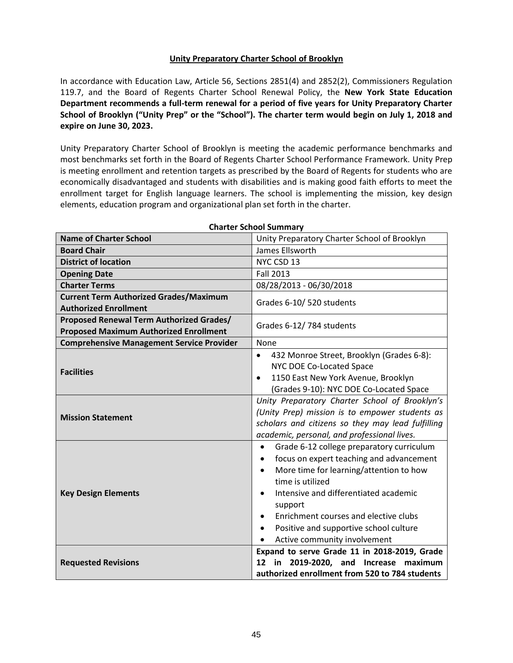# **Unity Preparatory Charter School of Brooklyn**

In accordance with Education Law, Article 56, Sections 2851(4) and 2852(2), Commissioners Regulation 119.7, and the Board of Regents Charter School Renewal Policy, the **New York State Education Department recommends a full-term renewal for a period of five years for Unity Preparatory Charter School of Brooklyn ("Unity Prep" or the "School"). The charter term would begin on July 1, 2018 and expire on June 30, 2023.**

Unity Preparatory Charter School of Brooklyn is meeting the academic performance benchmarks and most benchmarks set forth in the Board of Regents Charter School Performance Framework. Unity Prep is meeting enrollment and retention targets as prescribed by the Board of Regents for students who are economically disadvantaged and students with disabilities and is making good faith efforts to meet the enrollment target for English language learners. The school is implementing the mission, key design elements, education program and organizational plan set forth in the charter.

| <b>Name of Charter School</b>                                                             | Unity Preparatory Charter School of Brooklyn                                                                                                                                                                                                                                                                                                                                              |  |  |
|-------------------------------------------------------------------------------------------|-------------------------------------------------------------------------------------------------------------------------------------------------------------------------------------------------------------------------------------------------------------------------------------------------------------------------------------------------------------------------------------------|--|--|
| <b>Board Chair</b>                                                                        | James Ellsworth                                                                                                                                                                                                                                                                                                                                                                           |  |  |
| <b>District of location</b>                                                               | NYC CSD 13                                                                                                                                                                                                                                                                                                                                                                                |  |  |
| <b>Opening Date</b>                                                                       | <b>Fall 2013</b>                                                                                                                                                                                                                                                                                                                                                                          |  |  |
| <b>Charter Terms</b>                                                                      | 08/28/2013 - 06/30/2018                                                                                                                                                                                                                                                                                                                                                                   |  |  |
| <b>Current Term Authorized Grades/Maximum</b><br><b>Authorized Enrollment</b>             | Grades 6-10/520 students                                                                                                                                                                                                                                                                                                                                                                  |  |  |
| Proposed Renewal Term Authorized Grades/<br><b>Proposed Maximum Authorized Enrollment</b> | Grades 6-12/784 students                                                                                                                                                                                                                                                                                                                                                                  |  |  |
| <b>Comprehensive Management Service Provider</b>                                          | None                                                                                                                                                                                                                                                                                                                                                                                      |  |  |
| <b>Facilities</b>                                                                         | 432 Monroe Street, Brooklyn (Grades 6-8):<br>$\bullet$<br>NYC DOE Co-Located Space<br>1150 East New York Avenue, Brooklyn<br>$\bullet$<br>(Grades 9-10): NYC DOE Co-Located Space                                                                                                                                                                                                         |  |  |
| <b>Mission Statement</b>                                                                  | Unity Preparatory Charter School of Brooklyn's<br>(Unity Prep) mission is to empower students as<br>scholars and citizens so they may lead fulfilling<br>academic, personal, and professional lives.                                                                                                                                                                                      |  |  |
| <b>Key Design Elements</b>                                                                | Grade 6-12 college preparatory curriculum<br>$\bullet$<br>focus on expert teaching and advancement<br>٠<br>More time for learning/attention to how<br>$\bullet$<br>time is utilized<br>Intensive and differentiated academic<br>$\bullet$<br>support<br>Enrichment courses and elective clubs<br>$\bullet$<br>Positive and supportive school culture<br>٠<br>Active community involvement |  |  |
| <b>Requested Revisions</b>                                                                | Expand to serve Grade 11 in 2018-2019, Grade<br>in<br>2019-2020, and Increase maximum<br>12<br>authorized enrollment from 520 to 784 students                                                                                                                                                                                                                                             |  |  |

**Charter School Summary**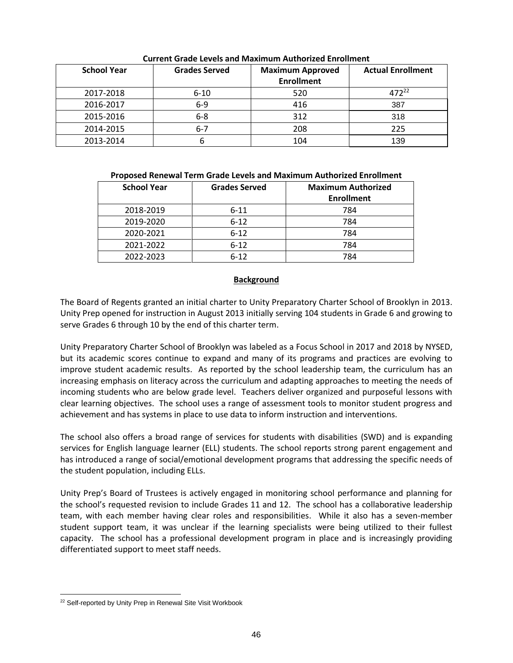| <b>School Year</b> | <b>Grades Served</b> | <b>Maximum Approved</b> | <b>Actual Enrollment</b> |
|--------------------|----------------------|-------------------------|--------------------------|
|                    |                      | <b>Enrollment</b>       |                          |
| 2017-2018          | $6 - 10$             | 520                     | 472 <sup>22</sup>        |
| 2016-2017          | $6-9$                | 416                     | 387                      |
| 2015-2016          | $6 - 8$              | 312                     | 318                      |
| 2014-2015          | $6 - 7$              | 208                     | 225                      |
| 2013-2014          | O                    | 104                     | 139                      |

**Current Grade Levels and Maximum Authorized Enrollment**

# **Proposed Renewal Term Grade Levels and Maximum Authorized Enrollment**

| <b>School Year</b> | <b>Grades Served</b> | <b>Maximum Authorized</b><br><b>Enrollment</b> |
|--------------------|----------------------|------------------------------------------------|
| 2018-2019          | $6 - 11$             | 784                                            |
| 2019-2020          | $6 - 12$             | 784                                            |
| 2020-2021          | $6 - 12$             | 784                                            |
| 2021-2022          | $6 - 12$             | 784                                            |
| 2022-2023          | $6 - 12$             | 784                                            |

# **Background**

The Board of Regents granted an initial charter to Unity Preparatory Charter School of Brooklyn in 2013. Unity Prep opened for instruction in August 2013 initially serving 104 students in Grade 6 and growing to serve Grades 6 through 10 by the end of this charter term.

Unity Preparatory Charter School of Brooklyn was labeled as a Focus School in 2017 and 2018 by NYSED, but its academic scores continue to expand and many of its programs and practices are evolving to improve student academic results. As reported by the school leadership team, the curriculum has an increasing emphasis on literacy across the curriculum and adapting approaches to meeting the needs of incoming students who are below grade level. Teachers deliver organized and purposeful lessons with clear learning objectives. The school uses a range of assessment tools to monitor student progress and achievement and has systems in place to use data to inform instruction and interventions.

The school also offers a broad range of services for students with disabilities (SWD) and is expanding services for English language learner (ELL) students. The school reports strong parent engagement and has introduced a range of social/emotional development programs that addressing the specific needs of the student population, including ELLs.

Unity Prep's Board of Trustees is actively engaged in monitoring school performance and planning for the school's requested revision to include Grades 11 and 12. The school has a collaborative leadership team, with each member having clear roles and responsibilities. While it also has a seven-member student support team, it was unclear if the learning specialists were being utilized to their fullest capacity. The school has a professional development program in place and is increasingly providing differentiated support to meet staff needs.

 $\overline{a}$ <sup>22</sup> Self-reported by Unity Prep in Renewal Site Visit Workbook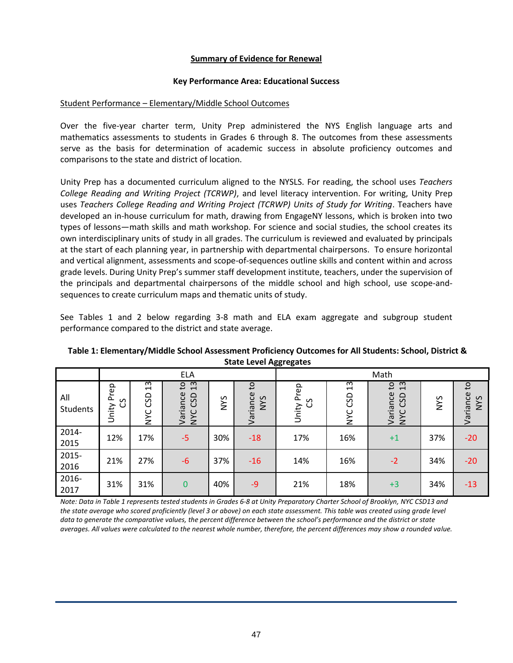### **Summary of Evidence for Renewal**

### **Key Performance Area: Educational Success**

### Student Performance – Elementary/Middle School Outcomes

Over the five-year charter term, Unity Prep administered the NYS English language arts and mathematics assessments to students in Grades 6 through 8. The outcomes from these assessments serve as the basis for determination of academic success in absolute proficiency outcomes and comparisons to the state and district of location.

Unity Prep has a documented curriculum aligned to the NYSLS. For reading, the school uses *Teachers College Reading and Writing Project (TCRWP)*, and level literacy intervention. For writing, Unity Prep uses *Teachers College Reading and Writing Project (TCRWP) Units of Study for Writing*. Teachers have developed an in-house curriculum for math, drawing from EngageNY lessons, which is broken into two types of lessons—math skills and math workshop. For science and social studies, the school creates its own interdisciplinary units of study in all grades. The curriculum is reviewed and evaluated by principals at the start of each planning year, in partnership with departmental chairpersons. To ensure horizontal and vertical alignment, assessments and scope-of-sequences outline skills and content within and across grade levels. During Unity Prep's summer staff development institute, teachers, under the supervision of the principals and departmental chairpersons of the middle school and high school, use scope-andsequences to create curriculum maps and thematic units of study.

See Tables 1 and 2 below regarding 3-8 math and ELA exam aggregate and subgroup student performance compared to the district and state average.

|                 | <b>ELA</b>                            |                                                    |                                                       |            |                                          | Math                |                                                    |                                                                |            |                                 |
|-----------------|---------------------------------------|----------------------------------------------------|-------------------------------------------------------|------------|------------------------------------------|---------------------|----------------------------------------------------|----------------------------------------------------------------|------------|---------------------------------|
| All<br>Students | rep<br>$\sim$<br>S<br>$\cup$<br>Unity | m<br>$\overline{\phantom{0}}$<br>GSD<br><b>NYC</b> | 13<br>$\mathsf{c}_1$<br>Variance<br>CSD<br><b>NYC</b> | <b>NVS</b> | S <sub>1</sub><br>Variance<br><b>NVS</b> | Prep<br>රි<br>Unity | $\omega$<br>$\overline{\phantom{0}}$<br>GSD<br>NYC | 13<br>$\mathsf{G}$<br>Variance<br>GSD<br>ပ<br>$\sum_{i=1}^{n}$ | <b>SAM</b> | °4<br>Variance<br>$\sigma$<br>⋛ |
| 2014-<br>2015   | 12%                                   | 17%                                                | $-5$                                                  | 30%        | $-18$                                    | 17%                 | 16%                                                | $+1$                                                           | 37%        | $-20$                           |
| 2015-<br>2016   | 21%                                   | 27%                                                | $-6$                                                  | 37%        | $-16$                                    | 14%                 | 16%                                                | $-2$                                                           | 34%        | $-20$                           |
| 2016-<br>2017   | 31%                                   | 31%                                                | $\mathbf 0$                                           | 40%        | $-9$                                     | 21%                 | 18%                                                | $+3$                                                           | 34%        | $-13$                           |

**Table 1: Elementary/Middle School Assessment Proficiency Outcomes for All Students: School, District & State Level Aggregates**

*Note: Data in Table 1 represents tested students in Grades 6-8 at Unity Preparatory Charter School of Brooklyn, NYC CSD13 and the state average who scored proficiently (level 3 or above) on each state assessment. This table was created using grade level data to generate the comparative values, the percent difference between the school's performance and the district or state averages. All values were calculated to the nearest whole number, therefore, the percent differences may show a rounded value.*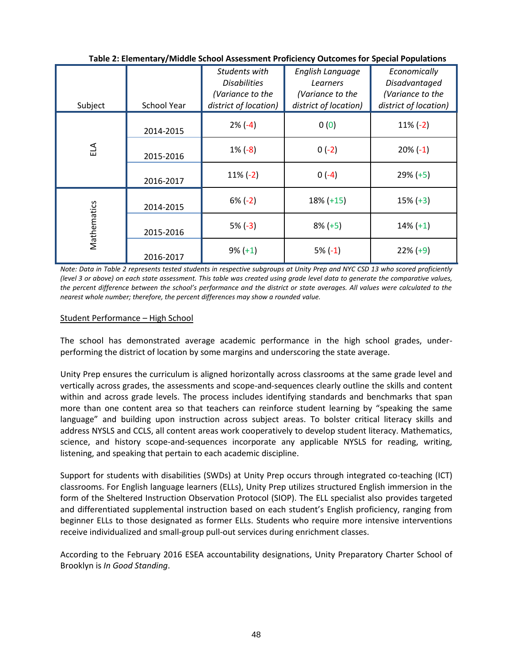| Subject     | <b>School Year</b> | Students with<br><b>Disabilities</b><br>(Variance to the<br>district of location) | English Language<br>Learners<br>(Variance to the<br>district of location) | Economically<br>Disadvantaged<br>(Variance to the<br>district of location) |
|-------------|--------------------|-----------------------------------------------------------------------------------|---------------------------------------------------------------------------|----------------------------------------------------------------------------|
|             | 2014-2015          | $2\%(-4)$                                                                         | 0(0)                                                                      | $11\% (-2)$                                                                |
| ELA         | 2015-2016          | $1\% (-8)$                                                                        | $0(-2)$                                                                   | $20\%(-1)$                                                                 |
|             | 2016-2017          | $11\% (-2)$                                                                       | $0(-4)$                                                                   | $29\% (+5)$                                                                |
|             | 2014-2015          | $6\% (-2)$                                                                        | $18\% (+15)$                                                              | $15\% (+3)$                                                                |
| Mathematics | 2015-2016          | $5% (-3)$                                                                         | $8\% (+5)$                                                                | $14\% (+1)$                                                                |
|             | 2016-2017          | $9\% (+1)$                                                                        | $5% (-1)$                                                                 | $22\% (+9)$                                                                |

**Table 2: Elementary/Middle School Assessment Proficiency Outcomes for Special Populations**

*Note: Data in Table 2 represents tested students in respective subgroups at Unity Prep and NYC CSD 13 who scored proficiently (level 3 or above) on each state assessment. This table was created using grade level data to generate the comparative values, the percent difference between the school's performance and the district or state averages. All values were calculated to the nearest whole number; therefore, the percent differences may show a rounded value.*

# Student Performance – High School

The school has demonstrated average academic performance in the high school grades, underperforming the district of location by some margins and underscoring the state average.

Unity Prep ensures the curriculum is aligned horizontally across classrooms at the same grade level and vertically across grades, the assessments and scope-and-sequences clearly outline the skills and content within and across grade levels. The process includes identifying standards and benchmarks that span more than one content area so that teachers can reinforce student learning by "speaking the same language" and building upon instruction across subject areas. To bolster critical literacy skills and address NYSLS and CCLS, all content areas work cooperatively to develop student literacy. Mathematics, science, and history scope-and-sequences incorporate any applicable NYSLS for reading, writing, listening, and speaking that pertain to each academic discipline.

Support for students with disabilities (SWDs) at Unity Prep occurs through integrated co-teaching (ICT) classrooms. For English language learners (ELLs), Unity Prep utilizes structured English immersion in the form of the Sheltered Instruction Observation Protocol (SIOP). The ELL specialist also provides targeted and differentiated supplemental instruction based on each student's English proficiency, ranging from beginner ELLs to those designated as former ELLs. Students who require more intensive interventions receive individualized and small-group pull-out services during enrichment classes.

According to the February 2016 ESEA accountability designations, Unity Preparatory Charter School of Brooklyn is *In Good Standing*.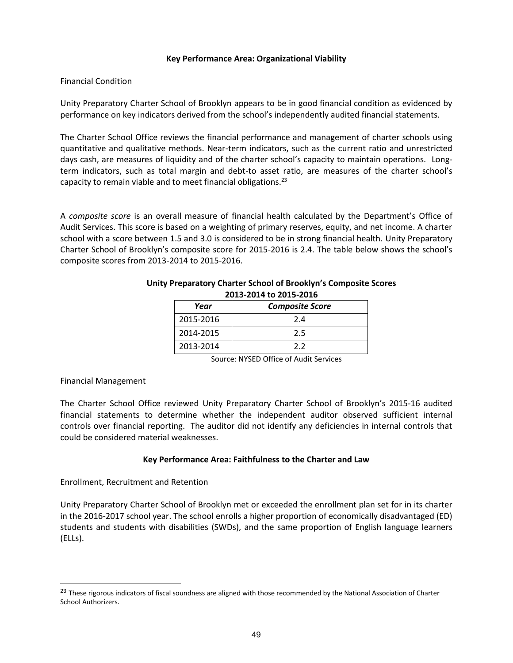#### **Key Performance Area: Organizational Viability**

# Financial Condition

Unity Preparatory Charter School of Brooklyn appears to be in good financial condition as evidenced by performance on key indicators derived from the school's independently audited financial statements.

The Charter School Office reviews the financial performance and management of charter schools using quantitative and qualitative methods. Near‐term indicators, such as the current ratio and unrestricted days cash, are measures of liquidity and of the charter school's capacity to maintain operations. Longterm indicators, such as total margin and debt-to asset ratio, are measures of the charter school's capacity to remain viable and to meet financial obligations.<sup>23</sup>

A *composite score* is an overall measure of financial health calculated by the Department's Office of Audit Services. This score is based on a weighting of primary reserves, equity, and net income. A charter school with a score between 1.5 and 3.0 is considered to be in strong financial health. Unity Preparatory Charter School of Brooklyn's composite score for 2015-2016 is 2.4. The table below shows the school's composite scores from 2013-2014 to 2015-2016.

| $2013 - 2017$ to $2013 - 2010$ |                        |  |  |  |  |  |
|--------------------------------|------------------------|--|--|--|--|--|
| Year                           | <b>Composite Score</b> |  |  |  |  |  |
| 2015-2016                      | 2.4                    |  |  |  |  |  |
| 2014-2015                      | 2.5                    |  |  |  |  |  |
| 2013-2014                      | 2.2                    |  |  |  |  |  |

#### **Unity Preparatory Charter School of Brooklyn's Composite Scores 2013-2014 to 2015-2016**

Source: NYSED Office of Audit Services

#### Financial Management

 $\overline{a}$ 

The Charter School Office reviewed Unity Preparatory Charter School of Brooklyn's 2015-16 audited financial statements to determine whether the independent auditor observed sufficient internal controls over financial reporting. The auditor did not identify any deficiencies in internal controls that could be considered material weaknesses.

# **Key Performance Area: Faithfulness to the Charter and Law**

Enrollment, Recruitment and Retention

Unity Preparatory Charter School of Brooklyn met or exceeded the enrollment plan set for in its charter in the 2016-2017 school year. The school enrolls a higher proportion of economically disadvantaged (ED) students and students with disabilities (SWDs), and the same proportion of English language learners (ELLs).

<sup>&</sup>lt;sup>23</sup> These rigorous indicators of fiscal soundness are aligned with those recommended by the National Association of Charter School Authorizers.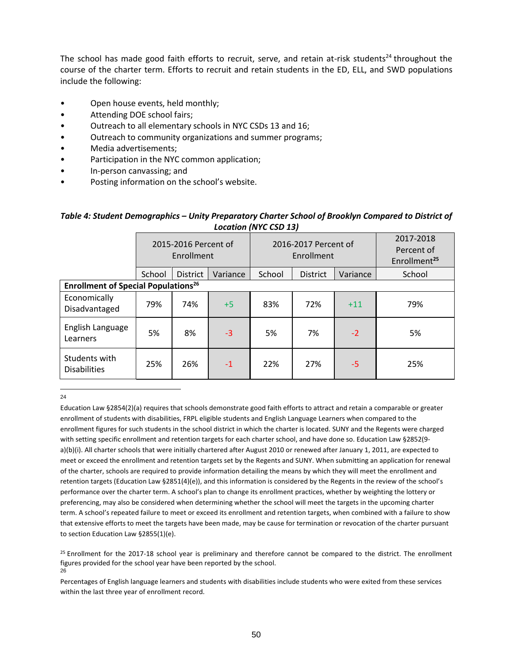The school has made good faith efforts to recruit, serve, and retain at-risk students<sup>24</sup> throughout the course of the charter term. Efforts to recruit and retain students in the ED, ELL, and SWD populations include the following:

- Open house events, held monthly;
- Attending DOE school fairs;
- Outreach to all elementary schools in NYC CSDs 13 and 16;
- Outreach to community organizations and summer programs;
- Media advertisements;
- Participation in the NYC common application;
- In-person canvassing; and
- Posting information on the school's website.

# *Table 4: Student Demographics – Unity Preparatory Charter School of Brooklyn Compared to District of Location (NYC CSD 13)*

|                                                       | 2015-2016 Percent of<br>Enrollment    |     |      | 2016-2017 Percent of<br>Enrollment |                 |          | 2017-2018<br>Percent of<br>Enrollment <sup>25</sup> |
|-------------------------------------------------------|---------------------------------------|-----|------|------------------------------------|-----------------|----------|-----------------------------------------------------|
|                                                       | School<br>Variance<br><b>District</b> |     |      | School                             | <b>District</b> | Variance | School                                              |
| <b>Enrollment of Special Populations<sup>26</sup></b> |                                       |     |      |                                    |                 |          |                                                     |
| Economically<br>Disadvantaged                         | 79%                                   | 74% | $+5$ | 83%                                | 72%             | $+11$    | 79%                                                 |
| English Language<br>Learners                          | 5%                                    | 8%  | $-3$ | 5%                                 | 7%              | $-2$     | 5%                                                  |
| Students with<br><b>Disabilities</b>                  | 25%                                   | 26% | $-1$ | 22%                                | 27%             | -5       | 25%                                                 |

 $\overline{a}$ 24

Education Law §2854(2)(a) requires that schools demonstrate good faith efforts to attract and retain a comparable or greater enrollment of students with disabilities, FRPL eligible students and English Language Learners when compared to the enrollment figures for such students in the school district in which the charter is located. SUNY and the Regents were charged with setting specific enrollment and retention targets for each charter school, and have done so. Education Law §2852(9 a)(b)(i). All charter schools that were initially chartered after August 2010 or renewed after January 1, 2011, are expected to meet or exceed the enrollment and retention targets set by the Regents and SUNY. When submitting an application for renewal of the charter, schools are required to provide information detailing the means by which they will meet the enrollment and retention targets (Education Law §2851(4)(e)), and this information is considered by the Regents in the review of the school's performance over the charter term. A school's plan to change its enrollment practices, whether by weighting the lottery or preferencing, may also be considered when determining whether the school will meet the targets in the upcoming charter term. A school's repeated failure to meet or exceed its enrollment and retention targets, when combined with a failure to show that extensive efforts to meet the targets have been made, may be cause for termination or revocation of the charter pursuant to section Education Law §2855(1)(e).

 $25$  Enrollment for the 2017-18 school year is preliminary and therefore cannot be compared to the district. The enrollment figures provided for the school year have been reported by the school. 26

Percentages of English language learners and students with disabilities include students who were exited from these services within the last three year of enrollment record.